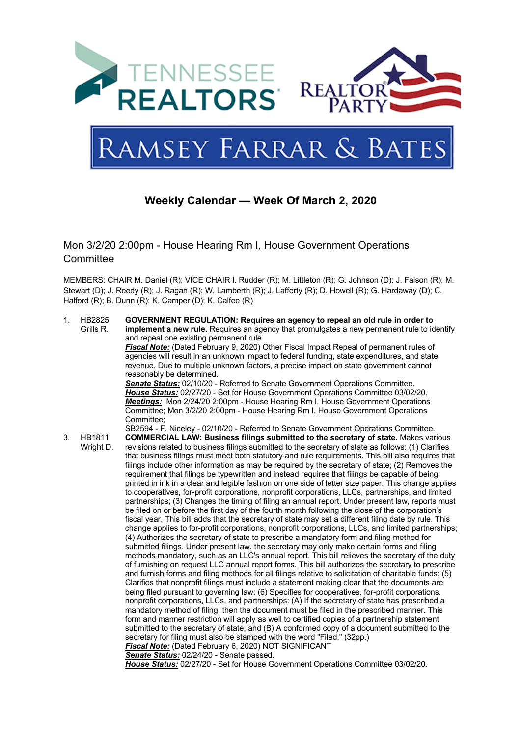

# **Weekly Calendar — Week Of March 2, 2020**

Mon 3/2/20 2:00pm - House Hearing Rm I, House Government Operations **Committee** 

MEMBERS: CHAIR M. Daniel (R); VICE CHAIR I. Rudder (R); M. Littleton (R); G. Johnson (D); J. Faison (R); M. Stewart (D); J. Reedy (R); J. Ragan (R); W. Lamberth (R); J. Lafferty (R); D. Howell (R); G. Hardaway (D); C. Halford (R); B. Dunn (R); K. Camper (D); K. Calfee (R)

1. HB2825 Grills R. **GOVERNMENT REGULATION: Requires an agency to repeal an old rule in order to implement a new rule.** Requires an agency that promulgates a new permanent rule to identify and repeal one existing permanent rule. *Fiscal Note:* (Dated February 9, 2020) Other Fiscal Impact Repeal of permanent rules of agencies will result in an unknown impact to federal funding, state expenditures, and state revenue. Due to multiple unknown factors, a precise impact on state government cannot reasonably be determined. *Senate Status:* 02/10/20 - Referred to Senate Government Operations Committee. *House Status:* 02/27/20 - Set for House Government Operations Committee 03/02/20. *Meetings:* Mon 2/24/20 2:00pm - House Hearing Rm I, House Government Operations Committee; Mon 3/2/20 2:00pm - House Hearing Rm I, House Government Operations Committee; SB2594 - F. Niceley - 02/10/20 - Referred to Senate Government Operations Committee. 3. HB1811 Wright D. **COMMERCIAL LAW: Business filings submitted to the secretary of state.** Makes various revisions related to business filings submitted to the secretary of state as follows: (1) Clarifies that business filings must meet both statutory and rule requirements. This bill also requires that filings include other information as may be required by the secretary of state; (2) Removes the requirement that filings be typewritten and instead requires that filings be capable of being printed in ink in a clear and legible fashion on one side of letter size paper. This change applies to cooperatives, for-profit corporations, nonprofit corporations, LLCs, partnerships, and limited partnerships; (3) Changes the timing of filing an annual report. Under present law, reports must be filed on or before the first day of the fourth month following the close of the corporation's fiscal year. This bill adds that the secretary of state may set a different filing date by rule. This change applies to for-profit corporations, nonprofit corporations, LLCs, and limited partnerships; (4) Authorizes the secretary of state to prescribe a mandatory form and filing method for submitted filings. Under present law, the secretary may only make certain forms and filing methods mandatory, such as an LLC's annual report. This bill relieves the secretary of the duty of furnishing on request LLC annual report forms. This bill authorizes the secretary to prescribe and furnish forms and filing methods for all filings relative to solicitation of charitable funds; (5) Clarifies that nonprofit filings must include a statement making clear that the documents are being filed pursuant to governing law; (6) Specifies for cooperatives, for-profit corporations, nonprofit corporations, LLCs, and partnerships: (A) If the secretary of state has prescribed a mandatory method of filing, then the document must be filed in the prescribed manner. This form and manner restriction will apply as well to certified copies of a partnership statement submitted to the secretary of state; and (B) A conformed copy of a document submitted to the secretary for filing must also be stamped with the word "Filed." (32pp.) *Fiscal Note:* (Dated February 6, 2020) NOT SIGNIFICANT *Senate Status:* 02/24/20 - Senate passed. *House Status:* 02/27/20 - Set for House Government Operations Committee 03/02/20.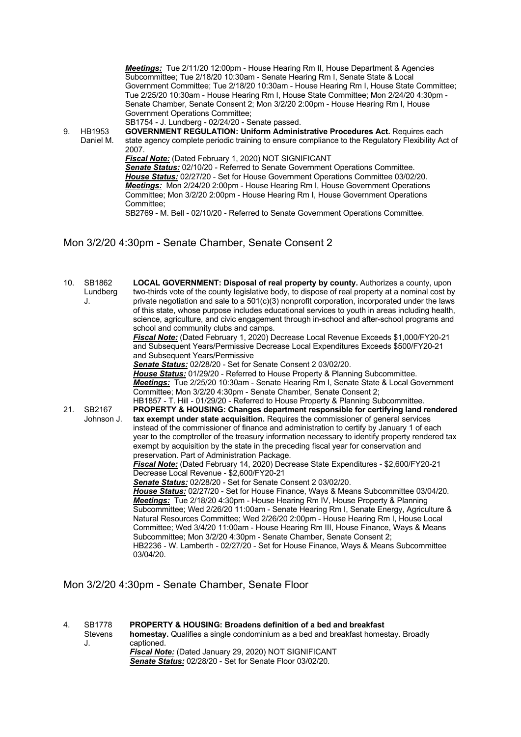*Meetings:* Tue 2/11/20 12:00pm - House Hearing Rm II, House Department & Agencies Subcommittee; Tue 2/18/20 10:30am - Senate Hearing Rm I, Senate State & Local Government Committee; Tue 2/18/20 10:30am - House Hearing Rm I, House State Committee; Tue 2/25/20 10:30am - House Hearing Rm I, House State Committee; Mon 2/24/20 4:30pm - Senate Chamber, Senate Consent 2; Mon 3/2/20 2:00pm - House Hearing Rm I, House Government Operations Committee;

SB1754 - J. Lundberg - 02/24/20 - Senate passed.

9. HB1953 Daniel M. **GOVERNMENT REGULATION: Uniform Administrative Procedures Act.** Requires each state agency complete periodic training to ensure compliance to the Regulatory Flexibility Act of 2007.

*Fiscal Note:* (Dated February 1, 2020) NOT SIGNIFICANT

*Senate Status:* 02/10/20 - Referred to Senate Government Operations Committee. *House Status:* 02/27/20 - Set for House Government Operations Committee 03/02/20. *Meetings:* Mon 2/24/20 2:00pm - House Hearing Rm I, House Government Operations Committee; Mon 3/2/20 2:00pm - House Hearing Rm I, House Government Operations Committee;

SB2769 - M. Bell - 02/10/20 - Referred to Senate Government Operations Committee.

Mon 3/2/20 4:30pm - Senate Chamber, Senate Consent 2

10. SB1862 Lundberg J. **LOCAL GOVERNMENT: Disposal of real property by county.** Authorizes a county, upon two-thirds vote of the county legislative body, to dispose of real property at a nominal cost by private negotiation and sale to a 501(c)(3) nonprofit corporation, incorporated under the laws of this state, whose purpose includes educational services to youth in areas including health, science, agriculture, and civic engagement through in-school and after-school programs and school and community clubs and camps. *Fiscal Note:* (Dated February 1, 2020) Decrease Local Revenue Exceeds \$1,000/FY20-21 and Subsequent Years/Permissive Decrease Local Expenditures Exceeds \$500/FY20-21 and Subsequent Years/Permissive *Senate Status:* 02/28/20 - Set for Senate Consent 2 03/02/20. *House Status:* 01/29/20 - Referred to House Property & Planning Subcommittee. *Meetings:* Tue 2/25/20 10:30am - Senate Hearing Rm I, Senate State & Local Government Committee; Mon 3/2/20 4:30pm - Senate Chamber, Senate Consent 2; HB1857 - T. Hill - 01/29/20 - Referred to House Property & Planning Subcommittee. 21. SB2167 Johnson J. **PROPERTY & HOUSING: Changes department responsible for certifying land rendered tax exempt under state acquisition.** Requires the commissioner of general services instead of the commissioner of finance and administration to certify by January 1 of each year to the comptroller of the treasury information necessary to identify property rendered tax exempt by acquisition by the state in the preceding fiscal year for conservation and preservation. Part of Administration Package. *Fiscal Note:* (Dated February 14, 2020) Decrease State Expenditures - \$2,600/FY20-21 Decrease Local Revenue - \$2,600/FY20-21 *Senate Status:* 02/28/20 - Set for Senate Consent 2 03/02/20. *House Status:* 02/27/20 - Set for House Finance, Ways & Means Subcommittee 03/04/20. *Meetings:* Tue 2/18/20 4:30pm - House Hearing Rm IV, House Property & Planning Subcommittee; Wed 2/26/20 11:00am - Senate Hearing Rm I, Senate Energy, Agriculture & Natural Resources Committee; Wed 2/26/20 2:00pm - House Hearing Rm I, House Local Committee; Wed 3/4/20 11:00am - House Hearing Rm III, House Finance, Ways & Means Subcommittee; Mon 3/2/20 4:30pm - Senate Chamber, Senate Consent 2; HB2236 - W. Lamberth - 02/27/20 - Set for House Finance, Ways & Means Subcommittee 03/04/20.

#### Mon 3/2/20 4:30pm - Senate Chamber, Senate Floor

4. SB1778 **Stevens** J. **PROPERTY & HOUSING: Broadens definition of a bed and breakfast homestay.** Qualifies a single condominium as a bed and breakfast homestay. Broadly captioned. *Fiscal Note:* (Dated January 29, 2020) NOT SIGNIFICANT *Senate Status:* 02/28/20 - Set for Senate Floor 03/02/20.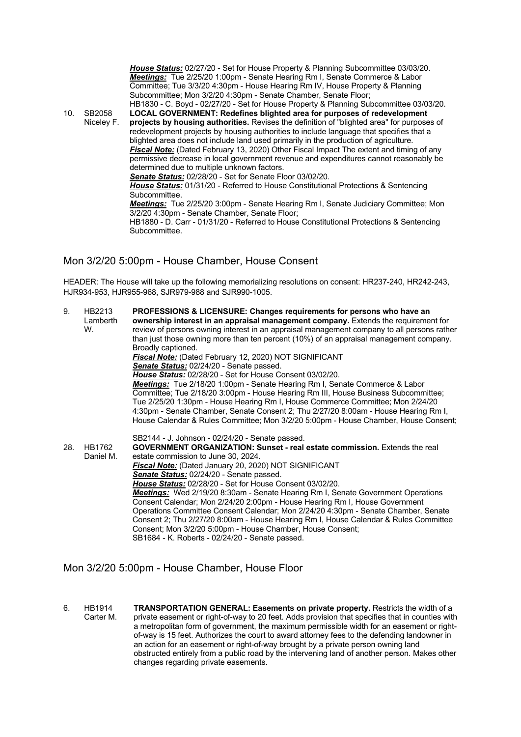*House Status:* 02/27/20 - Set for House Property & Planning Subcommittee 03/03/20. *Meetings:* Tue 2/25/20 1:00pm - Senate Hearing Rm I, Senate Commerce & Labor Committee; Tue 3/3/20 4:30pm - House Hearing Rm IV, House Property & Planning Subcommittee; Mon 3/2/20 4:30pm - Senate Chamber, Senate Floor; HB1830 - C. Boyd - 02/27/20 - Set for House Property & Planning Subcommittee 03/03/20. 10. SB2058 Niceley F. **LOCAL GOVERNMENT: Redefines blighted area for purposes of redevelopment projects by housing authorities.** Revises the definition of "blighted area" for purposes of redevelopment projects by housing authorities to include language that specifies that a blighted area does not include land used primarily in the production of agriculture. *Fiscal Note:* (Dated February 13, 2020) Other Fiscal Impact The extent and timing of any permissive decrease in local government revenue and expenditures cannot reasonably be determined due to multiple unknown factors. *Senate Status:* 02/28/20 - Set for Senate Floor 03/02/20. *House Status:* 01/31/20 - Referred to House Constitutional Protections & Sentencing Subcommittee. *Meetings:* Tue 2/25/20 3:00pm - Senate Hearing Rm I, Senate Judiciary Committee; Mon 3/2/20 4:30pm - Senate Chamber, Senate Floor; HB1880 - D. Carr - 01/31/20 - Referred to House Constitutional Protections & Sentencing Subcommittee.

#### Mon 3/2/20 5:00pm - House Chamber, House Consent

HEADER: The House will take up the following memorializing resolutions on consent: HR237-240, HR242-243, HJR934-953, HJR955-968, SJR979-988 and SJR990-1005.

| 9.  | HB2213<br>Lamberth<br>W. | <b>PROFESSIONS &amp; LICENSURE: Changes requirements for persons who have an</b><br>ownership interest in an appraisal management company. Extends the requirement for<br>review of persons owning interest in an appraisal management company to all persons rather<br>than just those owning more than ten percent (10%) of an appraisal management company.<br>Broadly captioned.<br>Fiscal Note: (Dated February 12, 2020) NOT SIGNIFICANT<br>Senate Status: 02/24/20 - Senate passed.<br>House Status: 02/28/20 - Set for House Consent 03/02/20.<br>Meetings: Tue 2/18/20 1:00pm - Senate Hearing Rm I, Senate Commerce & Labor<br>Committee; Tue 2/18/20 3:00pm - House Hearing Rm III, House Business Subcommittee;<br>Tue 2/25/20 1:30pm - House Hearing Rm I, House Commerce Committee; Mon 2/24/20<br>4:30pm - Senate Chamber, Senate Consent 2; Thu 2/27/20 8:00am - House Hearing Rm I,<br>House Calendar & Rules Committee; Mon 3/2/20 5:00pm - House Chamber, House Consent; |
|-----|--------------------------|---------------------------------------------------------------------------------------------------------------------------------------------------------------------------------------------------------------------------------------------------------------------------------------------------------------------------------------------------------------------------------------------------------------------------------------------------------------------------------------------------------------------------------------------------------------------------------------------------------------------------------------------------------------------------------------------------------------------------------------------------------------------------------------------------------------------------------------------------------------------------------------------------------------------------------------------------------------------------------------------|
| 28. | HB1762<br>Daniel M.      | SB2144 - J. Johnson - 02/24/20 - Senate passed.<br><b>GOVERNMENT ORGANIZATION: Sunset - real estate commission.</b> Extends the real<br>estate commission to June 30, 2024.<br>Fiscal Note: (Dated January 20, 2020) NOT SIGNIFICANT<br>Senate Status: 02/24/20 - Senate passed.<br><b>House Status:</b> 02/28/20 - Set for House Consent 03/02/20.<br>Meetings: Wed 2/19/20 8:30am - Senate Hearing Rm I, Senate Government Operations<br>Consent Calendar; Mon 2/24/20 2:00pm - House Hearing Rm I, House Government<br>Operations Committee Consent Calendar; Mon 2/24/20 4:30pm - Senate Chamber, Senate<br>Consent 2; Thu 2/27/20 8:00am - House Hearing Rm I, House Calendar & Rules Committee<br>Consent; Mon 3/2/20 5:00pm - House Chamber, House Consent;<br>SB1684 - K. Roberts - 02/24/20 - Senate passed.                                                                                                                                                                       |

#### Mon 3/2/20 5:00pm - House Chamber, House Floor

6. HB1914 Carter M. **TRANSPORTATION GENERAL: Easements on private property.** Restricts the width of a private easement or right-of-way to 20 feet. Adds provision that specifies that in counties with a metropolitan form of government, the maximum permissible width for an easement or rightof-way is 15 feet. Authorizes the court to award attorney fees to the defending landowner in an action for an easement or right-of-way brought by a private person owning land obstructed entirely from a public road by the intervening land of another person. Makes other changes regarding private easements.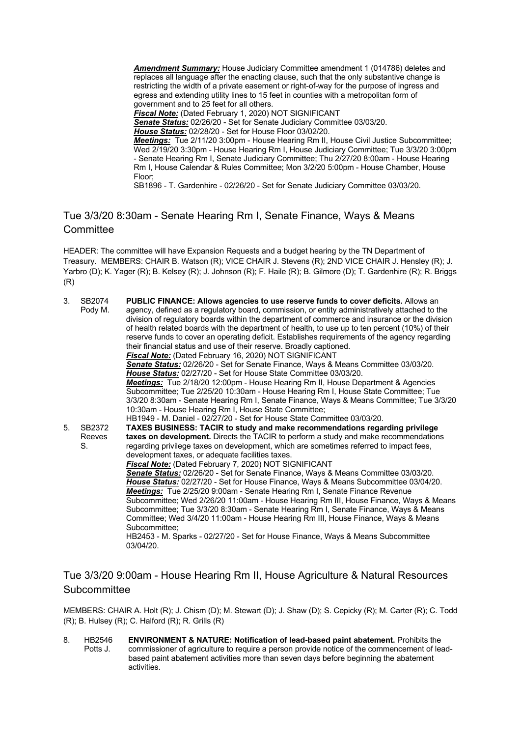*Amendment Summary:* House Judiciary Committee amendment 1 (014786) deletes and replaces all language after the enacting clause, such that the only substantive change is restricting the width of a private easement or right-of-way for the purpose of ingress and egress and extending utility lines to 15 feet in counties with a metropolitan form of government and to 25 feet for all others.

*Fiscal Note:* (Dated February 1, 2020) NOT SIGNIFICANT

*Senate Status:* 02/26/20 - Set for Senate Judiciary Committee 03/03/20.

*House Status:* 02/28/20 - Set for House Floor 03/02/20.

*Meetings:* Tue 2/11/20 3:00pm - House Hearing Rm II, House Civil Justice Subcommittee; Wed 2/19/20 3:30pm - House Hearing Rm I, House Judiciary Committee; Tue 3/3/20 3:00pm - Senate Hearing Rm I, Senate Judiciary Committee; Thu 2/27/20 8:00am - House Hearing Rm I, House Calendar & Rules Committee; Mon 3/2/20 5:00pm - House Chamber, House Floor;

SB1896 - T. Gardenhire - 02/26/20 - Set for Senate Judiciary Committee 03/03/20.

## Tue 3/3/20 8:30am - Senate Hearing Rm I, Senate Finance, Ways & Means **Committee**

HEADER: The committee will have Expansion Requests and a budget hearing by the TN Department of Treasury. MEMBERS: CHAIR B. Watson (R); VICE CHAIR J. Stevens (R); 2ND VICE CHAIR J. Hensley (R); J. Yarbro (D); K. Yager (R); B. Kelsey (R); J. Johnson (R); F. Haile (R); B. Gilmore (D); T. Gardenhire (R); R. Briggs (R)

| 3 <sub>1</sub> | SB2074<br>Pody M. | PUBLIC FINANCE: Allows agencies to use reserve funds to cover deficits. Allows an<br>agency, defined as a regulatory board, commission, or entity administratively attached to the<br>division of regulatory boards within the department of commerce and insurance or the division<br>of health related boards with the department of health, to use up to ten percent (10%) of their<br>reserve funds to cover an operating deficit. Establishes requirements of the agency regarding<br>their financial status and use of their reserve. Broadly captioned.<br>Fiscal Note: (Dated February 16, 2020) NOT SIGNIFICANT<br>Senate Status: 02/26/20 - Set for Senate Finance, Ways & Means Committee 03/03/20.<br>House Status: 02/27/20 - Set for House State Committee 03/03/20.<br>Meetings: Tue 2/18/20 12:00pm - House Hearing Rm II, House Department & Agencies<br>Subcommittee; Tue 2/25/20 10:30am - House Hearing Rm I, House State Committee; Tue<br>3/3/20 8:30am - Senate Hearing Rm I, Senate Finance, Ways & Means Committee; Tue 3/3/20<br>10:30am - House Hearing Rm I, House State Committee;<br>HB1949 - M. Daniel - 02/27/20 - Set for House State Committee 03/03/20. |
|----------------|-------------------|--------------------------------------------------------------------------------------------------------------------------------------------------------------------------------------------------------------------------------------------------------------------------------------------------------------------------------------------------------------------------------------------------------------------------------------------------------------------------------------------------------------------------------------------------------------------------------------------------------------------------------------------------------------------------------------------------------------------------------------------------------------------------------------------------------------------------------------------------------------------------------------------------------------------------------------------------------------------------------------------------------------------------------------------------------------------------------------------------------------------------------------------------------------------------------------------|
| 5.             | SB2372            | TAXES BUSINESS: TACIR to study and make recommendations regarding privilege                                                                                                                                                                                                                                                                                                                                                                                                                                                                                                                                                                                                                                                                                                                                                                                                                                                                                                                                                                                                                                                                                                                |
|                | Reeves<br>S.      | taxes on development. Directs the TACIR to perform a study and make recommendations<br>regarding privilege taxes on development, which are sometimes referred to impact fees,<br>development taxes, or adequate facilities taxes.                                                                                                                                                                                                                                                                                                                                                                                                                                                                                                                                                                                                                                                                                                                                                                                                                                                                                                                                                          |
|                |                   | Fiscal Note: (Dated February 7, 2020) NOT SIGNIFICANT                                                                                                                                                                                                                                                                                                                                                                                                                                                                                                                                                                                                                                                                                                                                                                                                                                                                                                                                                                                                                                                                                                                                      |
|                |                   | Senate Status: 02/26/20 - Set for Senate Finance, Ways & Means Committee 03/03/20.<br>House Status: 02/27/20 - Set for House Finance, Ways & Means Subcommittee 03/04/20.<br>Meetings: Tue 2/25/20 9:00am - Senate Hearing Rm I, Senate Finance Revenue                                                                                                                                                                                                                                                                                                                                                                                                                                                                                                                                                                                                                                                                                                                                                                                                                                                                                                                                    |
|                |                   | Subcommittee; Wed 2/26/20 11:00am - House Hearing Rm III, House Finance, Ways & Means<br>Subcommittee; Tue 3/3/20 8:30am - Senate Hearing Rm I, Senate Finance, Ways & Means<br>Committee; Wed 3/4/20 11:00am - House Hearing Rm III, House Finance, Ways & Means                                                                                                                                                                                                                                                                                                                                                                                                                                                                                                                                                                                                                                                                                                                                                                                                                                                                                                                          |
|                |                   | Subcommittee;<br>HB2453 - M. Sparks - 02/27/20 - Set for House Finance, Ways & Means Subcommittee<br>03/04/20.                                                                                                                                                                                                                                                                                                                                                                                                                                                                                                                                                                                                                                                                                                                                                                                                                                                                                                                                                                                                                                                                             |

#### Tue 3/3/20 9:00am - House Hearing Rm II, House Agriculture & Natural Resources **Subcommittee**

MEMBERS: CHAIR A. Holt (R); J. Chism (D); M. Stewart (D); J. Shaw (D); S. Cepicky (R); M. Carter (R); C. Todd (R); B. Hulsey (R); C. Halford (R); R. Grills (R)

8. HB2546 Potts J. **ENVIRONMENT & NATURE: Notification of lead-based paint abatement.** Prohibits the commissioner of agriculture to require a person provide notice of the commencement of leadbased paint abatement activities more than seven days before beginning the abatement activities.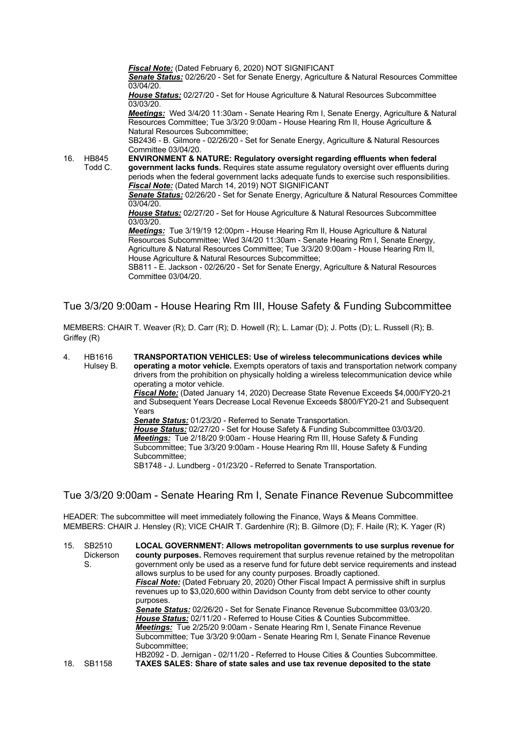*Fiscal Note:* (Dated February 6, 2020) NOT SIGNIFICANT

*Senate Status:* 02/26/20 - Set for Senate Energy, Agriculture & Natural Resources Committee  $03/04/20.$ 

*House Status:* 02/27/20 - Set for House Agriculture & Natural Resources Subcommittee 03/03/20.

*Meetings:* Wed 3/4/20 11:30am - Senate Hearing Rm I, Senate Energy, Agriculture & Natural Resources Committee; Tue 3/3/20 9:00am - House Hearing Rm II, House Agriculture & Natural Resources Subcommittee;

SB2436 - B. Gilmore - 02/26/20 - Set for Senate Energy, Agriculture & Natural Resources Committee 03/04/20.

16. HB845 Todd C. **ENVIRONMENT & NATURE: Regulatory oversight regarding effluents when federal government lacks funds.** Requires state assume regulatory oversight over effluents during periods when the federal government lacks adequate funds to exercise such responsibilities. *Fiscal Note:* (Dated March 14, 2019) NOT SIGNIFICANT

*Senate Status:* 02/26/20 - Set for Senate Energy, Agriculture & Natural Resources Committee 03/04/20.

*House Status:* 02/27/20 - Set for House Agriculture & Natural Resources Subcommittee 03/03/20.

*Meetings:* Tue 3/19/19 12:00pm - House Hearing Rm II, House Agriculture & Natural Resources Subcommittee; Wed 3/4/20 11:30am - Senate Hearing Rm I, Senate Energy, Agriculture & Natural Resources Committee; Tue 3/3/20 9:00am - House Hearing Rm II, House Agriculture & Natural Resources Subcommittee;

SB811 - E. Jackson - 02/26/20 - Set for Senate Energy, Agriculture & Natural Resources Committee 03/04/20.

Tue 3/3/20 9:00am - House Hearing Rm III, House Safety & Funding Subcommittee

MEMBERS: CHAIR T. Weaver (R); D. Carr (R); D. Howell (R); L. Lamar (D); J. Potts (D); L. Russell (R); B. Griffey (R)

4. HB1616 Hulsey B. **TRANSPORTATION VEHICLES: Use of wireless telecommunications devices while operating a motor vehicle.** Exempts operators of taxis and transportation network company drivers from the prohibition on physically holding a wireless telecommunication device while operating a motor vehicle.

*Fiscal Note:* (Dated January 14, 2020) Decrease State Revenue Exceeds \$4,000/FY20-21 and Subsequent Years Decrease Local Revenue Exceeds \$800/FY20-21 and Subsequent Years

*Senate Status:* 01/23/20 - Referred to Senate Transportation. *House Status:* 02/27/20 - Set for House Safety & Funding Subcommittee 03/03/20. *Meetings:* Tue 2/18/20 9:00am - House Hearing Rm III, House Safety & Funding Subcommittee; Tue 3/3/20 9:00am - House Hearing Rm III, House Safety & Funding Subcommittee;

SB1748 - J. Lundberg - 01/23/20 - Referred to Senate Transportation.

Tue 3/3/20 9:00am - Senate Hearing Rm I, Senate Finance Revenue Subcommittee

HEADER: The subcommittee will meet immediately following the Finance, Ways & Means Committee. MEMBERS: CHAIR J. Hensley (R); VICE CHAIR T. Gardenhire (R); B. Gilmore (D); F. Haile (R); K. Yager (R)

15. SB2510 Dickerson S. **LOCAL GOVERNMENT: Allows metropolitan governments to use surplus revenue for county purposes.** Removes requirement that surplus revenue retained by the metropolitan government only be used as a reserve fund for future debt service requirements and instead allows surplus to be used for any county purposes. Broadly captioned. *Fiscal Note:* (Dated February 20, 2020) Other Fiscal Impact A permissive shift in surplus revenues up to \$3,020,600 within Davidson County from debt service to other county purposes. *Senate Status:* 02/26/20 - Set for Senate Finance Revenue Subcommittee 03/03/20. *House Status:* 02/11/20 - Referred to House Cities & Counties Subcommittee. *Meetings:* Tue 2/25/20 9:00am - Senate Hearing Rm I, Senate Finance Revenue Subcommittee; Tue 3/3/20 9:00am - Senate Hearing Rm I, Senate Finance Revenue Subcommittee; HB2092 - D. Jernigan - 02/11/20 - Referred to House Cities & Counties Subcommittee. 18. SB1158 **TAXES SALES: Share of state sales and use tax revenue deposited to the state**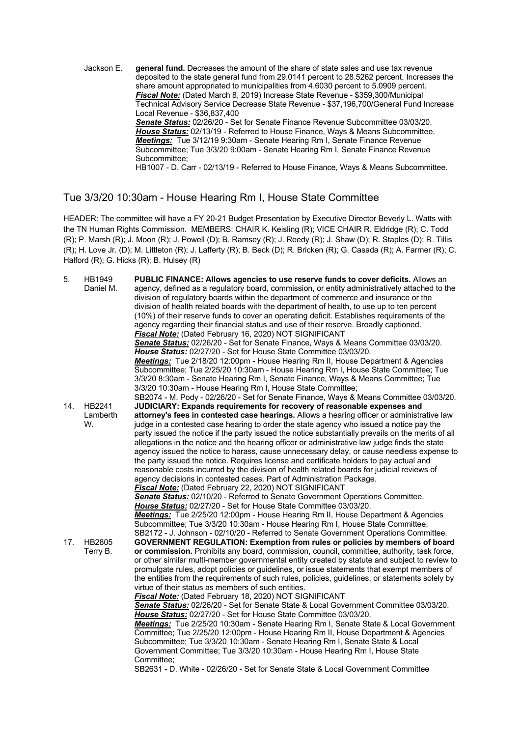Jackson E. **general fund.** Decreases the amount of the share of state sales and use tax revenue deposited to the state general fund from 29.0141 percent to 28.5262 percent. Increases the share amount appropriated to municipalities from 4.6030 percent to 5.0909 percent. *Fiscal Note:* (Dated March 8, 2019) Increase State Revenue - \$359,300/Municipal Technical Advisory Service Decrease State Revenue - \$37,196,700/General Fund Increase Local Revenue - \$36,837,400 *Senate Status:* 02/26/20 - Set for Senate Finance Revenue Subcommittee 03/03/20. *House Status:* 02/13/19 - Referred to House Finance, Ways & Means Subcommittee. *Meetings:* Tue 3/12/19 9:30am - Senate Hearing Rm I, Senate Finance Revenue Subcommittee; Tue 3/3/20 9:00am - Senate Hearing Rm I, Senate Finance Revenue Subcommittee;

HB1007 - D. Carr - 02/13/19 - Referred to House Finance, Ways & Means Subcommittee.

#### Tue 3/3/20 10:30am - House Hearing Rm I, House State Committee

HEADER: The committee will have a FY 20-21 Budget Presentation by Executive Director Beverly L. Watts with the TN Human Rights Commission. MEMBERS: CHAIR K. Keisling (R); VICE CHAIR R. Eldridge (R); C. Todd (R); P. Marsh (R); J. Moon (R); J. Powell (D); B. Ramsey (R); J. Reedy (R); J. Shaw (D); R. Staples (D); R. Tillis (R); H. Love Jr. (D); M. Littleton (R); J. Lafferty (R); B. Beck (D); R. Bricken (R); G. Casada (R); A. Farmer (R); C. Halford (R); G. Hicks (R); B. Hulsey (R)

| 5.  | HB1949<br>Daniel M.      | PUBLIC FINANCE: Allows agencies to use reserve funds to cover deficits. Allows an<br>agency, defined as a regulatory board, commission, or entity administratively attached to the<br>division of regulatory boards within the department of commerce and insurance or the<br>division of health related boards with the department of health, to use up to ten percent<br>(10%) of their reserve funds to cover an operating deficit. Establishes requirements of the<br>agency regarding their financial status and use of their reserve. Broadly captioned.<br>Fiscal Note: (Dated February 16, 2020) NOT SIGNIFICANT<br>Senate Status: 02/26/20 - Set for Senate Finance, Ways & Means Committee 03/03/20.<br>House Status: 02/27/20 - Set for House State Committee 03/03/20.<br>Meetings: Tue 2/18/20 12:00pm - House Hearing Rm II, House Department & Agencies<br>Subcommittee; Tue 2/25/20 10:30am - House Hearing Rm I, House State Committee; Tue<br>3/3/20 8:30am - Senate Hearing Rm I, Senate Finance, Ways & Means Committee; Tue<br>3/3/20 10:30am - House Hearing Rm I, House State Committee;                                                                                                                                                                                                                 |
|-----|--------------------------|---------------------------------------------------------------------------------------------------------------------------------------------------------------------------------------------------------------------------------------------------------------------------------------------------------------------------------------------------------------------------------------------------------------------------------------------------------------------------------------------------------------------------------------------------------------------------------------------------------------------------------------------------------------------------------------------------------------------------------------------------------------------------------------------------------------------------------------------------------------------------------------------------------------------------------------------------------------------------------------------------------------------------------------------------------------------------------------------------------------------------------------------------------------------------------------------------------------------------------------------------------------------------------------------------------------------------------|
|     |                          | SB2074 - M. Pody - 02/26/20 - Set for Senate Finance, Ways & Means Committee 03/03/20.                                                                                                                                                                                                                                                                                                                                                                                                                                                                                                                                                                                                                                                                                                                                                                                                                                                                                                                                                                                                                                                                                                                                                                                                                                          |
| 14. | HB2241<br>Lamberth<br>W. | JUDICIARY: Expands requirements for recovery of reasonable expenses and<br>attorney's fees in contested case hearings. Allows a hearing officer or administrative law<br>judge in a contested case hearing to order the state agency who issued a notice pay the<br>party issued the notice if the party issued the notice substantially prevails on the merits of all<br>allegations in the notice and the hearing officer or administrative law judge finds the state<br>agency issued the notice to harass, cause unnecessary delay, or cause needless expense to<br>the party issued the notice. Requires license and certificate holders to pay actual and<br>reasonable costs incurred by the division of health related boards for judicial reviews of<br>agency decisions in contested cases. Part of Administration Package.<br><b>Fiscal Note:</b> (Dated February 22, 2020) NOT SIGNIFICANT<br><b>Senate Status:</b> 02/10/20 - Referred to Senate Government Operations Committee.<br>House Status: 02/27/20 - Set for House State Committee 03/03/20.<br>Meetings: Tue 2/25/20 12:00pm - House Hearing Rm II, House Department & Agencies<br>Subcommittee; Tue 3/3/20 10:30am - House Hearing Rm I, House State Committee;<br>SB2172 - J. Johnson - 02/10/20 - Referred to Senate Government Operations Committee. |
| 17. | HB2805                   | <b>GOVERNMENT REGULATION: Exemption from rules or policies by members of board</b>                                                                                                                                                                                                                                                                                                                                                                                                                                                                                                                                                                                                                                                                                                                                                                                                                                                                                                                                                                                                                                                                                                                                                                                                                                              |
|     | Terry B.                 | or commission. Prohibits any board, commission, council, committee, authority, task force,<br>or other similar multi-member governmental entity created by statute and subject to review to<br>promulgate rules, adopt policies or guidelines, or issue statements that exempt members of<br>the entities from the requirements of such rules, policies, guidelines, or statements solely by<br>virtue of their status as members of such entities.<br>Fiscal Note: (Dated February 18, 2020) NOT SIGNIFICANT<br>Senate Status: 02/26/20 - Set for Senate State & Local Government Committee 03/03/20.<br>House Status: 02/27/20 - Set for House State Committee 03/03/20.<br>Meetings: Tue 2/25/20 10:30am - Senate Hearing Rm I, Senate State & Local Government<br>Committee; Tue 2/25/20 12:00pm - House Hearing Rm II, House Department & Agencies<br>Subcommittee; Tue 3/3/20 10:30am - Senate Hearing Rm I, Senate State & Local<br>Government Committee; Tue 3/3/20 10:30am - House Hearing Rm I, House State<br>Committee;<br>SB2631 - D. White - 02/26/20 - Set for Senate State & Local Government Committee                                                                                                                                                                                                         |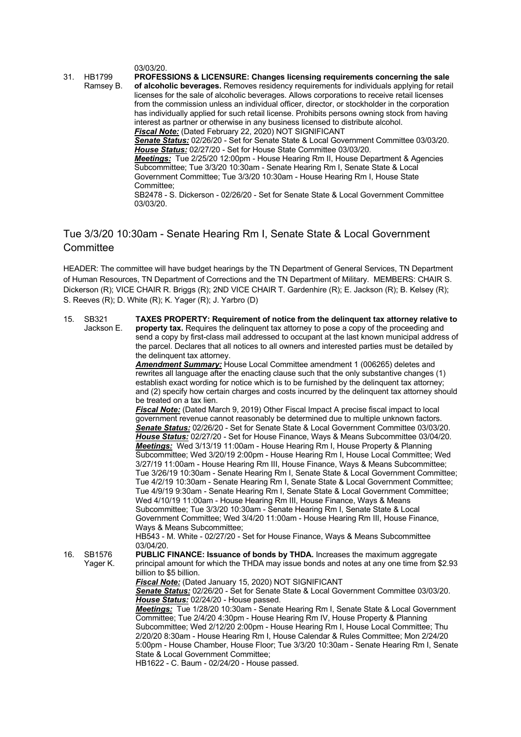03/03/20.

31. HB1799 Ramsey B. **PROFESSIONS & LICENSURE: Changes licensing requirements concerning the sale of alcoholic beverages.** Removes residency requirements for individuals applying for retail licenses for the sale of alcoholic beverages. Allows corporations to receive retail licenses from the commission unless an individual officer, director, or stockholder in the corporation has individually applied for such retail license. Prohibits persons owning stock from having interest as partner or otherwise in any business licensed to distribute alcohol. *Fiscal Note:* (Dated February 22, 2020) NOT SIGNIFICANT *Senate Status:* 02/26/20 - Set for Senate State & Local Government Committee 03/03/20. *House Status:* 02/27/20 - Set for House State Committee 03/03/20. *Meetings:* Tue 2/25/20 12:00pm - House Hearing Rm II, House Department & Agencies Subcommittee; Tue 3/3/20 10:30am - Senate Hearing Rm I, Senate State & Local Government Committee; Tue 3/3/20 10:30am - House Hearing Rm I, House State Committee; SB2478 - S. Dickerson - 02/26/20 - Set for Senate State & Local Government Committee 03/03/20.

# Tue 3/3/20 10:30am - Senate Hearing Rm I, Senate State & Local Government **Committee**

HEADER: The committee will have budget hearings by the TN Department of General Services, TN Department of Human Resources, TN Department of Corrections and the TN Department of Military. MEMBERS: CHAIR S. Dickerson (R); VICE CHAIR R. Briggs (R); 2ND VICE CHAIR T. Gardenhire (R); E. Jackson (R); B. Kelsey (R); S. Reeves (R); D. White (R); K. Yager (R); J. Yarbro (D)

| 15. | SB321<br>Jackson E. | TAXES PROPERTY: Requirement of notice from the delinguent tax attorney relative to<br><b>property tax.</b> Requires the delinguent tax attorney to pose a copy of the proceeding and<br>send a copy by first-class mail addressed to occupant at the last known municipal address of<br>the parcel. Declares that all notices to all owners and interested parties must be detailed by<br>the delinquent tax attorney.                                                                                                                                                                                                                                                                                                                                                                                                                                                                                                                                                                                                                                                                                                                                                                                                                                          |
|-----|---------------------|-----------------------------------------------------------------------------------------------------------------------------------------------------------------------------------------------------------------------------------------------------------------------------------------------------------------------------------------------------------------------------------------------------------------------------------------------------------------------------------------------------------------------------------------------------------------------------------------------------------------------------------------------------------------------------------------------------------------------------------------------------------------------------------------------------------------------------------------------------------------------------------------------------------------------------------------------------------------------------------------------------------------------------------------------------------------------------------------------------------------------------------------------------------------------------------------------------------------------------------------------------------------|
|     |                     | Amendment Summary: House Local Committee amendment 1 (006265) deletes and<br>rewrites all language after the enacting clause such that the only substantive changes (1)<br>establish exact wording for notice which is to be furnished by the delinguent tax attorney;<br>and (2) specify how certain charges and costs incurred by the delinguent tax attorney should<br>be treated on a tax lien.                                                                                                                                                                                                                                                                                                                                                                                                                                                                                                                                                                                                                                                                                                                                                                                                                                                             |
|     |                     | Fiscal Note: (Dated March 9, 2019) Other Fiscal Impact A precise fiscal impact to local<br>government revenue cannot reasonably be determined due to multiple unknown factors.<br>Senate Status: 02/26/20 - Set for Senate State & Local Government Committee 03/03/20.<br>House Status: 02/27/20 - Set for House Finance, Ways & Means Subcommittee 03/04/20.<br>Meetings: Wed 3/13/19 11:00am - House Hearing Rm I, House Property & Planning<br>Subcommittee; Wed 3/20/19 2:00pm - House Hearing Rm I, House Local Committee; Wed<br>3/27/19 11:00am - House Hearing Rm III, House Finance, Ways & Means Subcommittee;<br>Tue 3/26/19 10:30am - Senate Hearing Rm I, Senate State & Local Government Committee;<br>Tue 4/2/19 10:30am - Senate Hearing Rm I, Senate State & Local Government Committee;<br>Tue 4/9/19 9:30am - Senate Hearing Rm I, Senate State & Local Government Committee;<br>Wed 4/10/19 11:00am - House Hearing Rm III, House Finance, Ways & Means<br>Subcommittee; Tue 3/3/20 10:30am - Senate Hearing Rm I, Senate State & Local<br>Government Committee; Wed 3/4/20 11:00am - House Hearing Rm III, House Finance,<br>Ways & Means Subcommittee;<br>HB543 - M. White - 02/27/20 - Set for House Finance, Ways & Means Subcommittee |
| 16. | SB1576<br>Yager K.  | 03/04/20.<br>PUBLIC FINANCE: Issuance of bonds by THDA. Increases the maximum aggregate<br>principal amount for which the THDA may issue bonds and notes at any one time from \$2.93<br>billion to \$5 billion.<br>Fiscal Note: (Dated January 15, 2020) NOT SIGNIFICANT<br>Senate Status: 02/26/20 - Set for Senate State & Local Government Committee 03/03/20.<br>House Status: 02/24/20 - House passed.<br>Meetings: Tue 1/28/20 10:30am - Senate Hearing Rm I, Senate State & Local Government<br>Committee; Tue 2/4/20 4:30pm - House Hearing Rm IV, House Property & Planning                                                                                                                                                                                                                                                                                                                                                                                                                                                                                                                                                                                                                                                                            |
|     |                     | Subcommittee; Wed 2/12/20 2:00pm - House Hearing Rm I, House Local Committee; Thu<br>2/20/20 8:30am - House Hearing Rm I, House Calendar & Rules Committee; Mon 2/24/20<br>5:00pm - House Chamber, House Floor; Tue 3/3/20 10:30am - Senate Hearing Rm I, Senate<br>State & Local Government Committee;<br>HB1622 - C. Baum - 02/24/20 - House passed.                                                                                                                                                                                                                                                                                                                                                                                                                                                                                                                                                                                                                                                                                                                                                                                                                                                                                                          |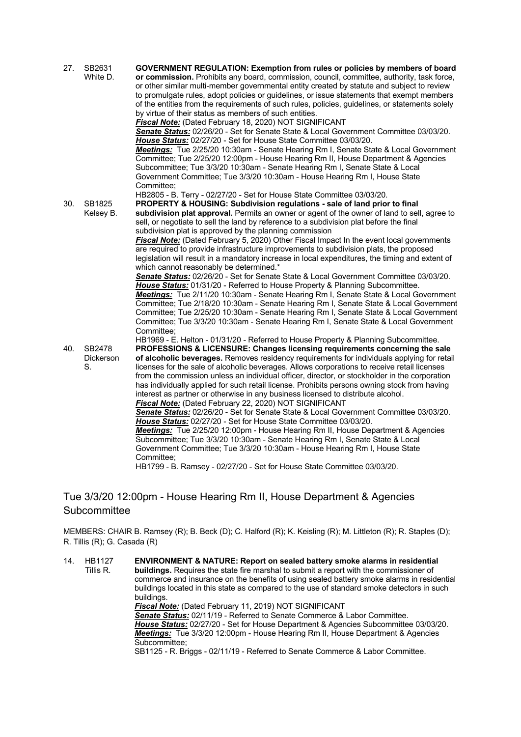| 27. | SB2631<br>White D.               | <b>GOVERNMENT REGULATION: Exemption from rules or policies by members of board</b><br>or commission. Prohibits any board, commission, council, committee, authority, task force,<br>or other similar multi-member governmental entity created by statute and subject to review<br>to promulgate rules, adopt policies or guidelines, or issue statements that exempt members<br>of the entities from the requirements of such rules, policies, guidelines, or statements solely<br>by virtue of their status as members of such entities.<br>Fiscal Note: (Dated February 18, 2020) NOT SIGNIFICANT<br>Senate Status: 02/26/20 - Set for Senate State & Local Government Committee 03/03/20.<br>House Status: 02/27/20 - Set for House State Committee 03/03/20.<br>Meetings: Tue 2/25/20 10:30am - Senate Hearing Rm I, Senate State & Local Government<br>Committee; Tue 2/25/20 12:00pm - House Hearing Rm II, House Department & Agencies<br>Subcommittee; Tue 3/3/20 10:30am - Senate Hearing Rm I, Senate State & Local<br>Government Committee; Tue 3/3/20 10:30am - House Hearing Rm I, House State<br>Committee:                                                                                               |
|-----|----------------------------------|-------------------------------------------------------------------------------------------------------------------------------------------------------------------------------------------------------------------------------------------------------------------------------------------------------------------------------------------------------------------------------------------------------------------------------------------------------------------------------------------------------------------------------------------------------------------------------------------------------------------------------------------------------------------------------------------------------------------------------------------------------------------------------------------------------------------------------------------------------------------------------------------------------------------------------------------------------------------------------------------------------------------------------------------------------------------------------------------------------------------------------------------------------------------------------------------------------------------------|
| 30. | SB1825<br>Kelsey B.              | HB2805 - B. Terry - 02/27/20 - Set for House State Committee 03/03/20.<br>PROPERTY & HOUSING: Subdivision regulations - sale of land prior to final<br>subdivision plat approval. Permits an owner or agent of the owner of land to sell, agree to<br>sell, or negotiate to sell the land by reference to a subdivision plat before the final<br>subdivision plat is approved by the planning commission<br><b>Fiscal Note:</b> (Dated February 5, 2020) Other Fiscal Impact In the event local governments<br>are required to provide infrastructure improvements to subdivision plats, the proposed<br>legislation will result in a mandatory increase in local expenditures, the timing and extent of<br>which cannot reasonably be determined.*<br>Senate Status: 02/26/20 - Set for Senate State & Local Government Committee 03/03/20.<br>House Status: 01/31/20 - Referred to House Property & Planning Subcommittee.                                                                                                                                                                                                                                                                                            |
|     |                                  | Meetings: Tue 2/11/20 10:30am - Senate Hearing Rm I, Senate State & Local Government<br>Committee; Tue 2/18/20 10:30am - Senate Hearing Rm I, Senate State & Local Government<br>Committee; Tue 2/25/20 10:30am - Senate Hearing Rm I, Senate State & Local Government<br>Committee; Tue 3/3/20 10:30am - Senate Hearing Rm I, Senate State & Local Government<br>Committee:                                                                                                                                                                                                                                                                                                                                                                                                                                                                                                                                                                                                                                                                                                                                                                                                                                            |
| 40. | SB2478<br><b>Dickerson</b><br>S. | HB1969 - E. Helton - 01/31/20 - Referred to House Property & Planning Subcommittee.<br>PROFESSIONS & LICENSURE: Changes licensing requirements concerning the sale<br>of alcoholic beverages. Removes residency requirements for individuals applying for retail<br>licenses for the sale of alcoholic beverages. Allows corporations to receive retail licenses<br>from the commission unless an individual officer, director, or stockholder in the corporation<br>has individually applied for such retail license. Prohibits persons owning stock from having<br>interest as partner or otherwise in any business licensed to distribute alcohol.<br>Fiscal Note: (Dated February 22, 2020) NOT SIGNIFICANT<br>Senate Status: 02/26/20 - Set for Senate State & Local Government Committee 03/03/20.<br>House Status: 02/27/20 - Set for House State Committee 03/03/20.<br>Meetings: Tue 2/25/20 12:00pm - House Hearing Rm II, House Department & Agencies<br>Subcommittee; Tue 3/3/20 10:30am - Senate Hearing Rm I, Senate State & Local<br>Government Committee; Tue 3/3/20 10:30am - House Hearing Rm I, House State<br>Committee;<br>HB1799 - B. Ramsey - 02/27/20 - Set for House State Committee 03/03/20. |

# Tue 3/3/20 12:00pm - House Hearing Rm II, House Department & Agencies **Subcommittee**

MEMBERS: CHAIR B. Ramsey (R); B. Beck (D); C. Halford (R); K. Keisling (R); M. Littleton (R); R. Staples (D); R. Tillis (R); G. Casada (R)

14. HB1127 Tillis R. **ENVIRONMENT & NATURE: Report on sealed battery smoke alarms in residential buildings.** Requires the state fire marshal to submit a report with the commissioner of commerce and insurance on the benefits of using sealed battery smoke alarms in residential buildings located in this state as compared to the use of standard smoke detectors in such buildings. *Fiscal Note:* (Dated February 11, 2019) NOT SIGNIFICANT *Senate Status:* 02/11/19 - Referred to Senate Commerce & Labor Committee. *House Status:* 02/27/20 - Set for House Department & Agencies Subcommittee 03/03/20. *Meetings:* Tue 3/3/20 12:00pm - House Hearing Rm II, House Department & Agencies Subcommittee: SB1125 - R. Briggs - 02/11/19 - Referred to Senate Commerce & Labor Committee.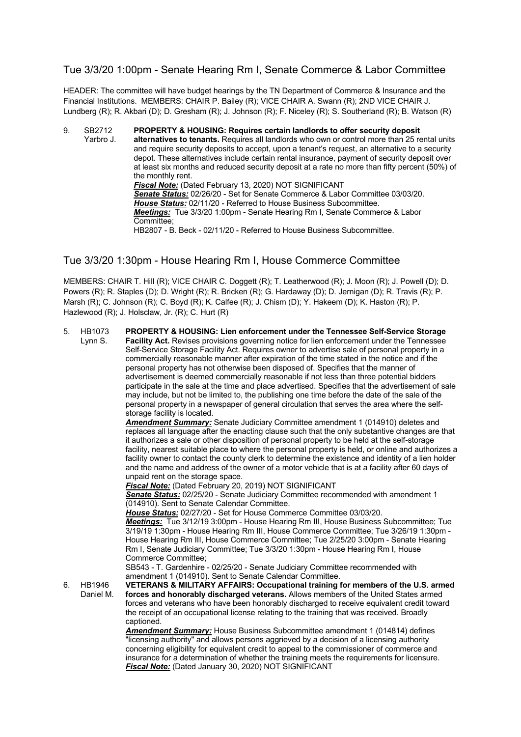#### Tue 3/3/20 1:00pm - Senate Hearing Rm I, Senate Commerce & Labor Committee

HEADER: The committee will have budget hearings by the TN Department of Commerce & Insurance and the Financial Institutions. MEMBERS: CHAIR P. Bailey (R); VICE CHAIR A. Swann (R); 2ND VICE CHAIR J. Lundberg (R); R. Akbari (D); D. Gresham (R); J. Johnson (R); F. Niceley (R); S. Southerland (R); B. Watson (R)

9. SB2712 Yarbro J. **PROPERTY & HOUSING: Requires certain landlords to offer security deposit alternatives to tenants.** Requires all landlords who own or control more than 25 rental units and require security deposits to accept, upon a tenant's request, an alternative to a security depot. These alternatives include certain rental insurance, payment of security deposit over at least six months and reduced security deposit at a rate no more than fifty percent (50%) of the monthly rent. *Fiscal Note:* (Dated February 13, 2020) NOT SIGNIFICANT *Senate Status:* 02/26/20 - Set for Senate Commerce & Labor Committee 03/03/20. *House Status:* 02/11/20 - Referred to House Business Subcommittee. *Meetings:* Tue 3/3/20 1:00pm - Senate Hearing Rm I, Senate Commerce & Labor Committee; HB2807 - B. Beck - 02/11/20 - Referred to House Business Subcommittee.

#### Tue 3/3/20 1:30pm - House Hearing Rm I, House Commerce Committee

MEMBERS: CHAIR T. Hill (R); VICE CHAIR C. Doggett (R); T. Leatherwood (R); J. Moon (R); J. Powell (D); D. Powers (R); R. Staples (D); D. Wright (R); R. Bricken (R); G. Hardaway (D); D. Jernigan (D); R. Travis (R); P. Marsh (R); C. Johnson (R); C. Boyd (R); K. Calfee (R); J. Chism (D); Y. Hakeem (D); K. Haston (R); P. Hazlewood (R); J. Holsclaw, Jr. (R); C. Hurt (R)

#### 5. HB1073 Lynn S. **PROPERTY & HOUSING: Lien enforcement under the Tennessee Self-Service Storage Facility Act.** Revises provisions governing notice for lien enforcement under the Tennessee Self-Service Storage Facility Act. Requires owner to advertise sale of personal property in a commercially reasonable manner after expiration of the time stated in the notice and if the personal property has not otherwise been disposed of. Specifies that the manner of advertisement is deemed commercially reasonable if not less than three potential bidders participate in the sale at the time and place advertised. Specifies that the advertisement of sale may include, but not be limited to, the publishing one time before the date of the sale of the personal property in a newspaper of general circulation that serves the area where the selfstorage facility is located. *Amendment Summary:* Senate Judiciary Committee amendment 1 (014910) deletes and replaces all language after the enacting clause such that the only substantive changes are that it authorizes a sale or other disposition of personal property to be held at the self-storage facility, nearest suitable place to where the personal property is held, or online and authorizes a facility owner to contact the county clerk to determine the existence and identity of a lien holder

and the name and address of the owner of a motor vehicle that is at a facility after 60 days of unpaid rent on the storage space.

*Fiscal Note:* (Dated February 20, 2019) NOT SIGNIFICANT

*Senate Status:* 02/25/20 - Senate Judiciary Committee recommended with amendment 1 (014910). Sent to Senate Calendar Committee.

*House Status:* 02/27/20 - Set for House Commerce Committee 03/03/20.

*Meetings:* Tue 3/12/19 3:00pm - House Hearing Rm III, House Business Subcommittee; Tue 3/19/19 1:30pm - House Hearing Rm III, House Commerce Committee; Tue 3/26/19 1:30pm - House Hearing Rm III, House Commerce Committee; Tue 2/25/20 3:00pm - Senate Hearing Rm I, Senate Judiciary Committee; Tue 3/3/20 1:30pm - House Hearing Rm I, House Commerce Committee;

SB543 - T. Gardenhire - 02/25/20 - Senate Judiciary Committee recommended with amendment 1 (014910). Sent to Senate Calendar Committee.

6. HB1946 Daniel M. **VETERANS & MILITARY AFFAIRS: Occupational training for members of the U.S. armed forces and honorably discharged veterans.** Allows members of the United States armed forces and veterans who have been honorably discharged to receive equivalent credit toward the receipt of an occupational license relating to the training that was received. Broadly **cantioned** 

*Amendment Summary:* House Business Subcommittee amendment 1 (014814) defines "licensing authority" and allows persons aggrieved by a decision of a licensing authority concerning eligibility for equivalent credit to appeal to the commissioner of commerce and insurance for a determination of whether the training meets the requirements for licensure. *Fiscal Note:* (Dated January 30, 2020) NOT SIGNIFICANT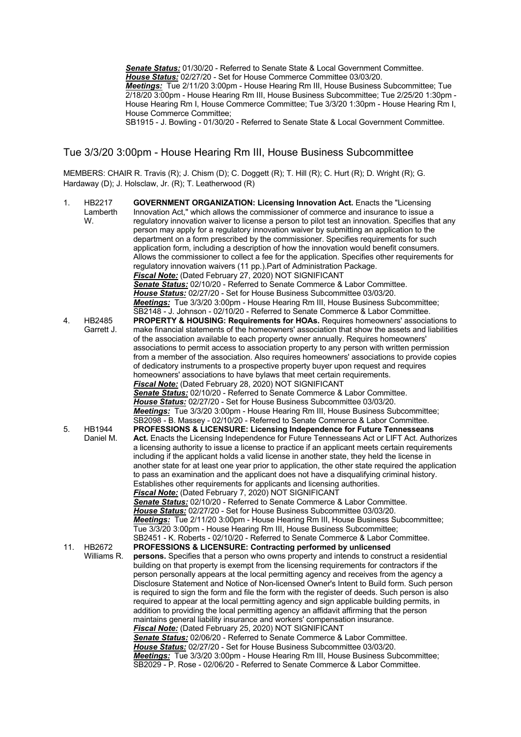*Senate Status:* 01/30/20 - Referred to Senate State & Local Government Committee. *House Status:* 02/27/20 - Set for House Commerce Committee 03/03/20. *Meetings:* Tue 2/11/20 3:00pm - House Hearing Rm III, House Business Subcommittee; Tue 2/18/20 3:00pm - House Hearing Rm III, House Business Subcommittee; Tue 2/25/20 1:30pm -House Hearing Rm I, House Commerce Committee; Tue 3/3/20 1:30pm - House Hearing Rm I, House Commerce Committee;

SB1915 - J. Bowling - 01/30/20 - Referred to Senate State & Local Government Committee.

#### Tue 3/3/20 3:00pm - House Hearing Rm III, House Business Subcommittee

MEMBERS: CHAIR R. Travis (R); J. Chism (D); C. Doggett (R); T. Hill (R); C. Hurt (R); D. Wright (R); G. Hardaway (D); J. Holsclaw, Jr. (R); T. Leatherwood (R)

| 1.  | HB2217<br>Lamberth<br>W.   | <b>GOVERNMENT ORGANIZATION: Licensing Innovation Act. Enacts the "Licensing</b><br>Innovation Act," which allows the commissioner of commerce and insurance to issue a<br>regulatory innovation waiver to license a person to pilot test an innovation. Specifies that any<br>person may apply for a regulatory innovation waiver by submitting an application to the<br>department on a form prescribed by the commissioner. Specifies requirements for such<br>application form, including a description of how the innovation would benefit consumers.<br>Allows the commissioner to collect a fee for the application. Specifies other requirements for<br>regulatory innovation waivers (11 pp.). Part of Administration Package.<br>Fiscal Note: (Dated February 27, 2020) NOT SIGNIFICANT<br><b>Senate Status:</b> 02/10/20 - Referred to Senate Commerce & Labor Committee.<br>House Status: 02/27/20 - Set for House Business Subcommittee 03/03/20.<br>Meetings: Tue 3/3/20 3:00pm - House Hearing Rm III, House Business Subcommittee;                                                                                                                                                                                                                                                |
|-----|----------------------------|--------------------------------------------------------------------------------------------------------------------------------------------------------------------------------------------------------------------------------------------------------------------------------------------------------------------------------------------------------------------------------------------------------------------------------------------------------------------------------------------------------------------------------------------------------------------------------------------------------------------------------------------------------------------------------------------------------------------------------------------------------------------------------------------------------------------------------------------------------------------------------------------------------------------------------------------------------------------------------------------------------------------------------------------------------------------------------------------------------------------------------------------------------------------------------------------------------------------------------------------------------------------------------------------------|
| 4.  | HB2485<br>Garrett J.       | SB2148 - J. Johnson - 02/10/20 - Referred to Senate Commerce & Labor Committee.<br>PROPERTY & HOUSING: Requirements for HOAs. Requires homeowners' associations to<br>make financial statements of the homeowners' association that show the assets and liabilities<br>of the association available to each property owner annually. Requires homeowners'<br>associations to permit access to association property to any person with written permission<br>from a member of the association. Also requires homeowners' associations to provide copies<br>of dedicatory instruments to a prospective property buyer upon request and requires<br>homeowners' associations to have bylaws that meet certain requirements.<br>Fiscal Note: (Dated February 28, 2020) NOT SIGNIFICANT<br>Senate Status: 02/10/20 - Referred to Senate Commerce & Labor Committee.<br>House Status: 02/27/20 - Set for House Business Subcommittee 03/03/20.<br>Meetings: Tue 3/3/20 3:00pm - House Hearing Rm III, House Business Subcommittee;<br>SB2098 - B. Massey - 02/10/20 - Referred to Senate Commerce & Labor Committee.                                                                                                                                                                                   |
| 5.  | <b>HB1944</b><br>Daniel M. | PROFESSIONS & LICENSURE: Licensing Independence for Future Tennesseans<br>Act. Enacts the Licensing Independence for Future Tennesseans Act or LIFT Act. Authorizes<br>a licensing authority to issue a license to practice if an applicant meets certain requirements<br>including if the applicant holds a valid license in another state, they held the license in<br>another state for at least one year prior to application, the other state required the application<br>to pass an examination and the applicant does not have a disqualifying criminal history.<br>Establishes other requirements for applicants and licensing authorities.<br>Fiscal Note: (Dated February 7, 2020) NOT SIGNIFICANT<br>Senate Status: 02/10/20 - Referred to Senate Commerce & Labor Committee.<br>House Status: 02/27/20 - Set for House Business Subcommittee 03/03/20.<br>Meetings: Tue 2/11/20 3:00pm - House Hearing Rm III, House Business Subcommittee;<br>Tue 3/3/20 3:00pm - House Hearing Rm III, House Business Subcommittee;                                                                                                                                                                                                                                                                |
| 11. | HB2672<br>Williams R.      | SB2451 - K. Roberts - 02/10/20 - Referred to Senate Commerce & Labor Committee.<br>PROFESSIONS & LICENSURE: Contracting performed by unlicensed<br>persons. Specifies that a person who owns property and intends to construct a residential<br>building on that property is exempt from the licensing requirements for contractors if the<br>person personally appears at the local permitting agency and receives from the agency a<br>Disclosure Statement and Notice of Non-licensed Owner's Intent to Build form. Such person<br>is required to sign the form and file the form with the register of deeds. Such person is also<br>required to appear at the local permitting agency and sign applicable building permits, in<br>addition to providing the local permitting agency an affidavit affirming that the person<br>maintains general liability insurance and workers' compensation insurance.<br>Fiscal Note: (Dated February 25, 2020) NOT SIGNIFICANT<br>Senate Status: 02/06/20 - Referred to Senate Commerce & Labor Committee.<br>House Status: 02/27/20 - Set for House Business Subcommittee 03/03/20.<br>Meetings: Tue 3/3/20 3:00pm - House Hearing Rm III, House Business Subcommittee;<br>SB2029 - P. Rose - 02/06/20 - Referred to Senate Commerce & Labor Committee. |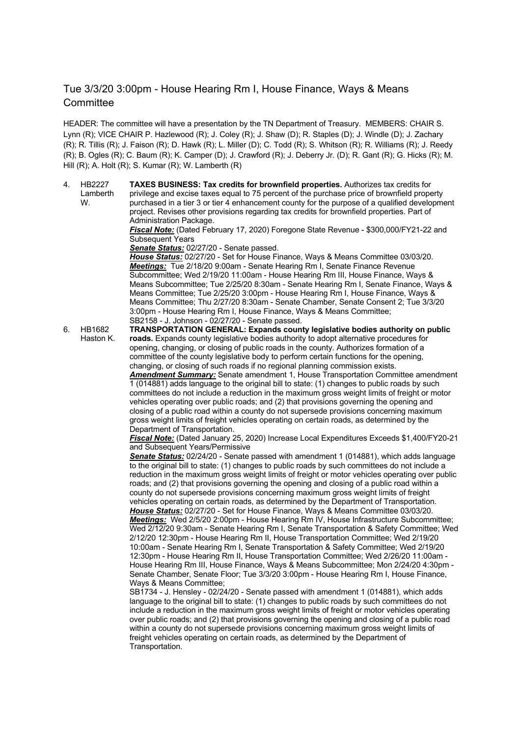#### Tue 3/3/20 3:00pm - House Hearing Rm I, House Finance, Ways & Means **Committee**

HEADER: The committee will have a presentation by the TN Department of Treasury. MEMBERS: CHAIR S. Lynn (R); VICE CHAIR P. Hazlewood (R); J. Coley (R); J. Shaw (D); R. Staples (D); J. Windle (D); J. Zachary (R); R. Tillis (R); J. Faison (R); D. Hawk (R); L. Miller (D); C. Todd (R); S. Whitson (R); R. Williams (R); J. Reedy (R); B. Ogles (R); C. Baum (R); K. Camper (D); J. Crawford (R); J. Deberry Jr. (D); R. Gant (R); G. Hicks (R); M. Hill (R); A. Holt (R); S. Kumar (R); W. Lamberth (R)

4. HB2227 Lamberth W. **TAXES BUSINESS: Tax credits for brownfield properties.** Authorizes tax credits for privilege and excise taxes equal to 75 percent of the purchase price of brownfield property purchased in a tier 3 or tier 4 enhancement county for the purpose of a qualified development project. Revises other provisions regarding tax credits for brownfield properties. Part of Administration Package.

*Fiscal Note:* (Dated February 17, 2020) Foregone State Revenue - \$300,000/FY21-22 and Subsequent Years

*Senate Status:* 02/27/20 - Senate passed.

*House Status:* 02/27/20 - Set for House Finance, Ways & Means Committee 03/03/20. *Meetings:* Tue 2/18/20 9:00am - Senate Hearing Rm I, Senate Finance Revenue Subcommittee; Wed 2/19/20 11:00am - House Hearing Rm III, House Finance, Ways & Means Subcommittee; Tue 2/25/20 8:30am - Senate Hearing Rm I, Senate Finance, Ways & Means Committee; Tue 2/25/20 3:00pm - House Hearing Rm I, House Finance, Ways & Means Committee; Thu 2/27/20 8:30am - Senate Chamber, Senate Consent 2; Tue 3/3/20 3:00pm - House Hearing Rm I, House Finance, Ways & Means Committee; SB2158 - J. Johnson - 02/27/20 - Senate passed.

6. HB1682 Haston K. **TRANSPORTATION GENERAL: Expands county legislative bodies authority on public roads.** Expands county legislative bodies authority to adopt alternative procedures for opening, changing, or closing of public roads in the county. Authorizes formation of a committee of the county legislative body to perform certain functions for the opening, changing, or closing of such roads if no regional planning commission exists. *Amendment Summary:* Senate amendment 1, House Transportation Committee amendment

1 (014881) adds language to the original bill to state: (1) changes to public roads by such committees do not include a reduction in the maximum gross weight limits of freight or motor vehicles operating over public roads; and (2) that provisions governing the opening and closing of a public road within a county do not supersede provisions concerning maximum gross weight limits of freight vehicles operating on certain roads, as determined by the Department of Transportation.

*Fiscal Note:* (Dated January 25, 2020) Increase Local Expenditures Exceeds \$1,400/FY20-21 and Subsequent Years/Permissive

*Senate Status:* 02/24/20 - Senate passed with amendment 1 (014881), which adds language to the original bill to state: (1) changes to public roads by such committees do not include a reduction in the maximum gross weight limits of freight or motor vehicles operating over public roads; and (2) that provisions governing the opening and closing of a public road within a county do not supersede provisions concerning maximum gross weight limits of freight vehicles operating on certain roads, as determined by the Department of Transportation. *House Status:* 02/27/20 - Set for House Finance, Ways & Means Committee 03/03/20. *Meetings:* Wed 2/5/20 2:00pm - House Hearing Rm IV, House Infrastructure Subcommittee; Wed 2/12/20 9:30am - Senate Hearing Rm I, Senate Transportation & Safety Committee; Wed 2/12/20 12:30pm - House Hearing Rm II, House Transportation Committee; Wed 2/19/20 10:00am - Senate Hearing Rm I, Senate Transportation & Safety Committee; Wed 2/19/20 12:30pm - House Hearing Rm II, House Transportation Committee; Wed 2/26/20 11:00am - House Hearing Rm III, House Finance, Ways & Means Subcommittee; Mon 2/24/20 4:30pm - Senate Chamber, Senate Floor; Tue 3/3/20 3:00pm - House Hearing Rm I, House Finance, Ways & Means Committee;

SB1734 - J. Hensley - 02/24/20 - Senate passed with amendment 1 (014881), which adds language to the original bill to state: (1) changes to public roads by such committees do not include a reduction in the maximum gross weight limits of freight or motor vehicles operating over public roads; and (2) that provisions governing the opening and closing of a public road within a county do not supersede provisions concerning maximum gross weight limits of freight vehicles operating on certain roads, as determined by the Department of Transportation.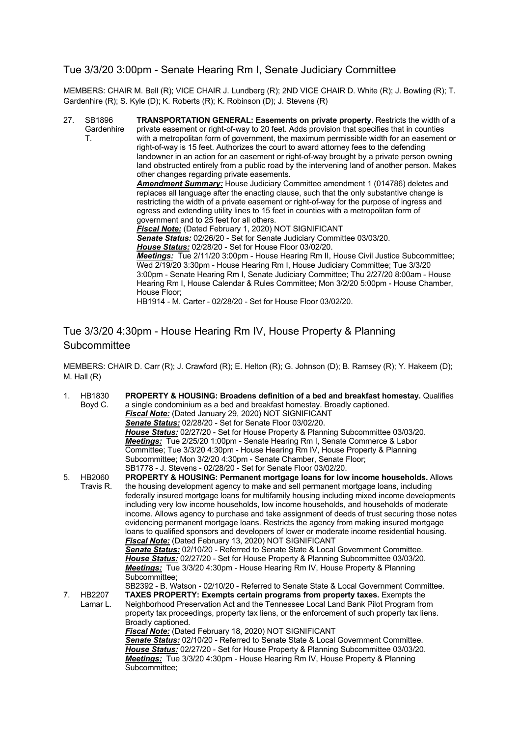#### Tue 3/3/20 3:00pm - Senate Hearing Rm I, Senate Judiciary Committee

MEMBERS: CHAIR M. Bell (R); VICE CHAIR J. Lundberg (R); 2ND VICE CHAIR D. White (R); J. Bowling (R); T. Gardenhire (R); S. Kyle (D); K. Roberts (R); K. Robinson (D); J. Stevens (R)

27. SB1896 **Gardenhire** T. **TRANSPORTATION GENERAL: Easements on private property.** Restricts the width of a private easement or right-of-way to 20 feet. Adds provision that specifies that in counties with a metropolitan form of government, the maximum permissible width for an easement or right-of-way is 15 feet. Authorizes the court to award attorney fees to the defending landowner in an action for an easement or right-of-way brought by a private person owning land obstructed entirely from a public road by the intervening land of another person. Makes other changes regarding private easements. *Amendment Summary:* House Judiciary Committee amendment 1 (014786) deletes and replaces all language after the enacting clause, such that the only substantive change is restricting the width of a private easement or right-of-way for the purpose of ingress and egress and extending utility lines to 15 feet in counties with a metropolitan form of government and to 25 feet for all others. *Fiscal Note:* (Dated February 1, 2020) NOT SIGNIFICANT *Senate Status:* 02/26/20 - Set for Senate Judiciary Committee 03/03/20. *House Status:* 02/28/20 - Set for House Floor 03/02/20. *Meetings:* Tue 2/11/20 3:00pm - House Hearing Rm II, House Civil Justice Subcommittee; Wed 2/19/20 3:30pm - House Hearing Rm I, House Judiciary Committee; Tue 3/3/20 3:00pm - Senate Hearing Rm I, Senate Judiciary Committee; Thu 2/27/20 8:00am - House Hearing Rm I, House Calendar & Rules Committee; Mon 3/2/20 5:00pm - House Chamber, House Floor; HB1914 - M. Carter - 02/28/20 - Set for House Floor 03/02/20.

## Tue 3/3/20 4:30pm - House Hearing Rm IV, House Property & Planning **Subcommittee**

MEMBERS: CHAIR D. Carr (R); J. Crawford (R); E. Helton (R); G. Johnson (D); B. Ramsey (R); Y. Hakeem (D); M. Hall (R)

| 1. | HB1830    | <b>PROPERTY &amp; HOUSING: Broadens definition of a bed and breakfast homestay. Qualifies</b> |
|----|-----------|-----------------------------------------------------------------------------------------------|
|    | Boyd C.   | a single condominium as a bed and breakfast homestay. Broadly captioned.                      |
|    |           | <b>Fiscal Note:</b> (Dated January 29, 2020) NOT SIGNIFICANT                                  |
|    |           | Senate Status: 02/28/20 - Set for Senate Floor 03/02/20.                                      |
|    |           | House Status: 02/27/20 - Set for House Property & Planning Subcommittee 03/03/20.             |
|    |           | Meetings: Tue 2/25/20 1:00pm - Senate Hearing Rm I, Senate Commerce & Labor                   |
|    |           | Committee; Tue 3/3/20 4:30pm - House Hearing Rm IV, House Property & Planning                 |
|    |           | Subcommittee; Mon 3/2/20 4:30pm - Senate Chamber, Senate Floor;                               |
|    |           | SB1778 - J. Stevens - 02/28/20 - Set for Senate Floor 03/02/20.                               |
| 5. | HB2060    | PROPERTY & HOUSING: Permanent mortgage loans for low income households. Allows                |
|    | Travis R. | the housing development agency to make and sell permanent mortgage loans, including           |
|    |           | federally insured mortgage loans for multifamily housing including mixed income developments  |
|    |           | including very low income households, low income households, and households of moderate       |
|    |           | income. Allows agency to purchase and take assignment of deeds of trust securing those notes  |
|    |           | evidencing permanent mortgage loans. Restricts the agency from making insured mortgage        |
|    |           | loans to qualified sponsors and developers of lower or moderate income residential housing.   |
|    |           | Fiscal Note: (Dated February 13, 2020) NOT SIGNIFICANT                                        |
|    |           | Senate Status: 02/10/20 - Referred to Senate State & Local Government Committee.              |
|    |           | <b>House Status:</b> 02/27/20 - Set for House Property & Planning Subcommittee 03/03/20.      |
|    |           | Meetings: Tue 3/3/20 4:30pm - House Hearing Rm IV, House Property & Planning                  |
|    |           | Subcommittee:                                                                                 |
|    |           | SB2392 - B. Watson - 02/10/20 - Referred to Senate State & Local Government Committee.        |
| 7. | HB2207    | TAXES PROPERTY: Exempts certain programs from property taxes. Exempts the                     |
|    | Lamar L.  | Neighborhood Preservation Act and the Tennessee Local Land Bank Pilot Program from            |
|    |           | property tax proceedings, property tax liens, or the enforcement of such property tax liens.  |
|    |           | Broadly captioned.                                                                            |
|    |           | Fiscal Note: (Dated February 18, 2020) NOT SIGNIFICANT                                        |
|    |           | Senate Status: 02/10/20 - Referred to Senate State & Local Government Committee.              |
|    |           | <b>House Status:</b> 02/27/20 - Set for House Property & Planning Subcommittee 03/03/20.      |
|    |           | Meetings: Tue 3/3/20 4:30pm - House Hearing Rm IV, House Property & Planning                  |
|    |           | Subcommittee:                                                                                 |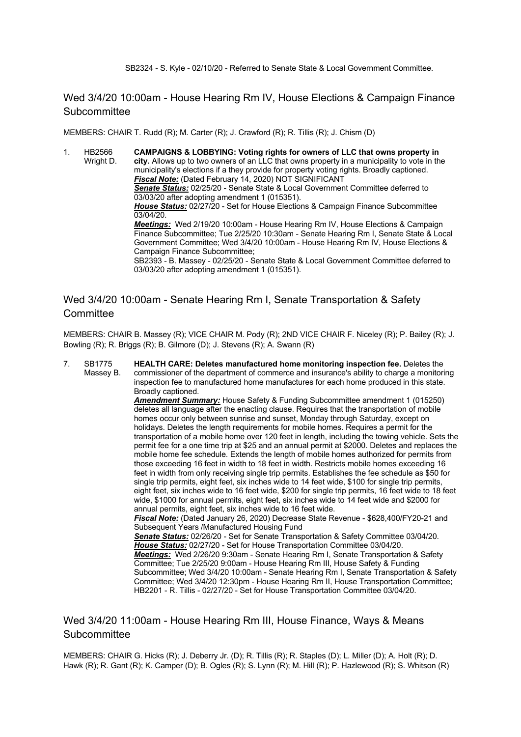SB2324 - S. Kyle - 02/10/20 - Referred to Senate State & Local Government Committee.

Wed 3/4/20 10:00am - House Hearing Rm IV, House Elections & Campaign Finance **Subcommittee** 

MEMBERS: CHAIR T. Rudd (R); M. Carter (R); J. Crawford (R); R. Tillis (R); J. Chism (D)

1. HB2566 Wright D. **CAMPAIGNS & LOBBYING: Voting rights for owners of LLC that owns property in city.** Allows up to two owners of an LLC that owns property in a municipality to vote in the municipality's elections if a they provide for property voting rights. Broadly captioned. *Fiscal Note:* (Dated February 14, 2020) NOT SIGNIFICANT *Senate Status:* 02/25/20 - Senate State & Local Government Committee deferred to 03/03/20 after adopting amendment 1 (015351). *House Status:* 02/27/20 - Set for House Elections & Campaign Finance Subcommittee 03/04/20. *Meetings:* Wed 2/19/20 10:00am - House Hearing Rm IV, House Elections & Campaign Finance Subcommittee; Tue 2/25/20 10:30am - Senate Hearing Rm I, Senate State & Local Government Committee; Wed 3/4/20 10:00am - House Hearing Rm IV, House Elections & Campaign Finance Subcommittee; SB2393 - B. Massey - 02/25/20 - Senate State & Local Government Committee deferred to 03/03/20 after adopting amendment 1 (015351).

#### Wed 3/4/20 10:00am - Senate Hearing Rm I, Senate Transportation & Safety **Committee**

MEMBERS: CHAIR B. Massey (R); VICE CHAIR M. Pody (R); 2ND VICE CHAIR F. Niceley (R); P. Bailey (R); J. Bowling (R); R. Briggs (R); B. Gilmore (D); J. Stevens (R); A. Swann (R)

7. SB1775 Massey B. **HEALTH CARE: Deletes manufactured home monitoring inspection fee.** Deletes the commissioner of the department of commerce and insurance's ability to charge a monitoring inspection fee to manufactured home manufactures for each home produced in this state. Broadly captioned. *Amendment Summary:* House Safety & Funding Subcommittee amendment 1 (015250) deletes all language after the enacting clause. Requires that the transportation of mobile homes occur only between sunrise and sunset, Monday through Saturday, except on holidays. Deletes the length requirements for mobile homes. Requires a permit for the transportation of a mobile home over 120 feet in length, including the towing vehicle. Sets the permit fee for a one time trip at \$25 and an annual permit at \$2000. Deletes and replaces the mobile home fee schedule. Extends the length of mobile homes authorized for permits from those exceeding 16 feet in width to 18 feet in width. Restricts mobile homes exceeding 16 feet in width from only receiving single trip permits. Establishes the fee schedule as \$50 for single trip permits, eight feet, six inches wide to 14 feet wide, \$100 for single trip permits, eight feet, six inches wide to 16 feet wide, \$200 for single trip permits, 16 feet wide to 18 feet wide, \$1000 for annual permits, eight feet, six inches wide to 14 feet wide and \$2000 for annual permits, eight feet, six inches wide to 16 feet wide. *Fiscal Note:* (Dated January 26, 2020) Decrease State Revenue - \$628,400/FY20-21 and Subsequent Years /Manufactured Housing Fund *Senate Status:* 02/26/20 - Set for Senate Transportation & Safety Committee 03/04/20. *House Status:* 02/27/20 - Set for House Transportation Committee 03/04/20. *Meetings:* Wed 2/26/20 9:30am - Senate Hearing Rm I, Senate Transportation & Safety Committee; Tue 2/25/20 9:00am - House Hearing Rm III, House Safety & Funding Subcommittee; Wed 3/4/20 10:00am - Senate Hearing Rm I, Senate Transportation & Safety Committee; Wed 3/4/20 12:30pm - House Hearing Rm II, House Transportation Committee; HB2201 - R. Tillis - 02/27/20 - Set for House Transportation Committee 03/04/20.

#### Wed 3/4/20 11:00am - House Hearing Rm III, House Finance, Ways & Means **Subcommittee**

MEMBERS: CHAIR G. Hicks (R); J. Deberry Jr. (D); R. Tillis (R); R. Staples (D); L. Miller (D); A. Holt (R); D. Hawk (R); R. Gant (R); K. Camper (D); B. Ogles (R); S. Lynn (R); M. Hill (R); P. Hazlewood (R); S. Whitson (R)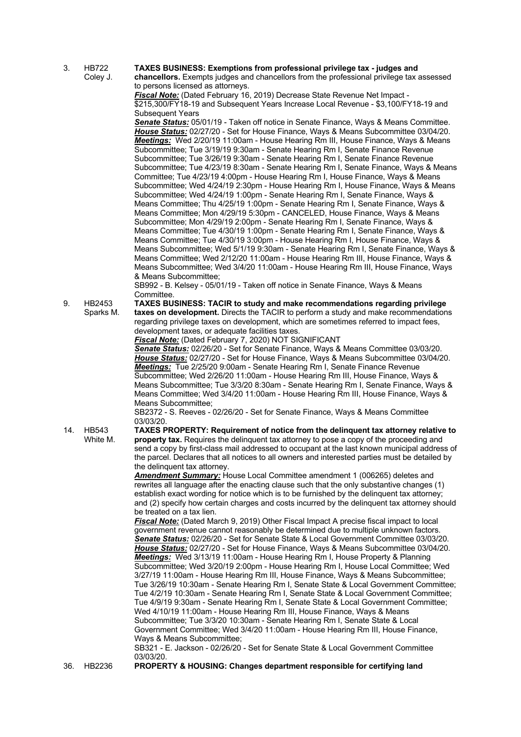- 3. HB722 **TAXES BUSINESS: Exemptions from professional privilege tax - judges and** 
	- Coley J.

**chancellors.** Exempts judges and chancellors from the professional privilege tax assessed to persons licensed as attorneys.

*Fiscal Note:* (Dated February 16, 2019) Decrease State Revenue Net Impact - \$215,300/FY18-19 and Subsequent Years Increase Local Revenue - \$3,100/FY18-19 and Subsequent Years

*Senate Status:* 05/01/19 - Taken off notice in Senate Finance, Ways & Means Committee. *House Status:* 02/27/20 - Set for House Finance, Ways & Means Subcommittee 03/04/20. *Meetings:* Wed 2/20/19 11:00am - House Hearing Rm III, House Finance, Ways & Means Subcommittee; Tue 3/19/19 9:30am - Senate Hearing Rm I, Senate Finance Revenue Subcommittee; Tue 3/26/19 9:30am - Senate Hearing Rm I, Senate Finance Revenue Subcommittee; Tue 4/23/19 8:30am - Senate Hearing Rm I, Senate Finance, Ways & Means Committee; Tue 4/23/19 4:00pm - House Hearing Rm I, House Finance, Ways & Means Subcommittee; Wed 4/24/19 2:30pm - House Hearing Rm I, House Finance, Ways & Means Subcommittee; Wed 4/24/19 1:00pm - Senate Hearing Rm I, Senate Finance, Ways & Means Committee; Thu 4/25/19 1:00pm - Senate Hearing Rm I, Senate Finance, Ways & Means Committee; Mon 4/29/19 5:30pm - CANCELED, House Finance, Ways & Means Subcommittee; Mon 4/29/19 2:00pm - Senate Hearing Rm I, Senate Finance, Ways & Means Committee; Tue 4/30/19 1:00pm - Senate Hearing Rm I, Senate Finance, Ways & Means Committee; Tue 4/30/19 3:00pm - House Hearing Rm I, House Finance, Ways & Means Subcommittee; Wed 5/1/19 9:30am - Senate Hearing Rm I, Senate Finance, Ways & Means Committee; Wed 2/12/20 11:00am - House Hearing Rm III, House Finance, Ways & Means Subcommittee; Wed 3/4/20 11:00am - House Hearing Rm III, House Finance, Ways & Means Subcommittee;

SB992 - B. Kelsey - 05/01/19 - Taken off notice in Senate Finance, Ways & Means Committee.

9. HB2453 Sparks M. **TAXES BUSINESS: TACIR to study and make recommendations regarding privilege taxes on development.** Directs the TACIR to perform a study and make recommendations regarding privilege taxes on development, which are sometimes referred to impact fees, development taxes, or adequate facilities taxes.

*Fiscal Note:* (Dated February 7, 2020) NOT SIGNIFICANT

*Senate Status:* 02/26/20 - Set for Senate Finance, Ways & Means Committee 03/03/20. *House Status:* 02/27/20 - Set for House Finance, Ways & Means Subcommittee 03/04/20. *Meetings:* Tue 2/25/20 9:00am - Senate Hearing Rm I, Senate Finance Revenue Subcommittee; Wed 2/26/20 11:00am - House Hearing Rm III, House Finance, Ways & Means Subcommittee; Tue 3/3/20 8:30am - Senate Hearing Rm I, Senate Finance, Ways & Means Committee; Wed 3/4/20 11:00am - House Hearing Rm III, House Finance, Ways & Means Subcommittee;

SB2372 - S. Reeves - 02/26/20 - Set for Senate Finance, Ways & Means Committee 03/03/20.

**TAXES PROPERTY: Requirement of notice from the delinquent tax attorney relative to property tax.** Requires the delinquent tax attorney to pose a copy of the proceeding and send a copy by first-class mail addressed to occupant at the last known municipal address of the parcel. Declares that all notices to all owners and interested parties must be detailed by the delinquent tax attorney.

*Amendment Summary:* House Local Committee amendment 1 (006265) deletes and rewrites all language after the enacting clause such that the only substantive changes (1) establish exact wording for notice which is to be furnished by the delinquent tax attorney; and (2) specify how certain charges and costs incurred by the delinquent tax attorney should be treated on a tax lien.

*Fiscal Note:* (Dated March 9, 2019) Other Fiscal Impact A precise fiscal impact to local government revenue cannot reasonably be determined due to multiple unknown factors. *Senate Status:* 02/26/20 - Set for Senate State & Local Government Committee 03/03/20. *House Status:* 02/27/20 - Set for House Finance, Ways & Means Subcommittee 03/04/20. *Meetings:* Wed 3/13/19 11:00am - House Hearing Rm I, House Property & Planning Subcommittee; Wed 3/20/19 2:00pm - House Hearing Rm I, House Local Committee; Wed 3/27/19 11:00am - House Hearing Rm III, House Finance, Ways & Means Subcommittee; Tue 3/26/19 10:30am - Senate Hearing Rm I, Senate State & Local Government Committee; Tue 4/2/19 10:30am - Senate Hearing Rm I, Senate State & Local Government Committee; Tue 4/9/19 9:30am - Senate Hearing Rm I, Senate State & Local Government Committee; Wed 4/10/19 11:00am - House Hearing Rm III, House Finance, Ways & Means Subcommittee; Tue 3/3/20 10:30am - Senate Hearing Rm I, Senate State & Local Government Committee; Wed 3/4/20 11:00am - House Hearing Rm III, House Finance, Ways & Means Subcommittee;

SB321 - E. Jackson - 02/26/20 - Set for Senate State & Local Government Committee 03/03/20.

14. HB543 White M.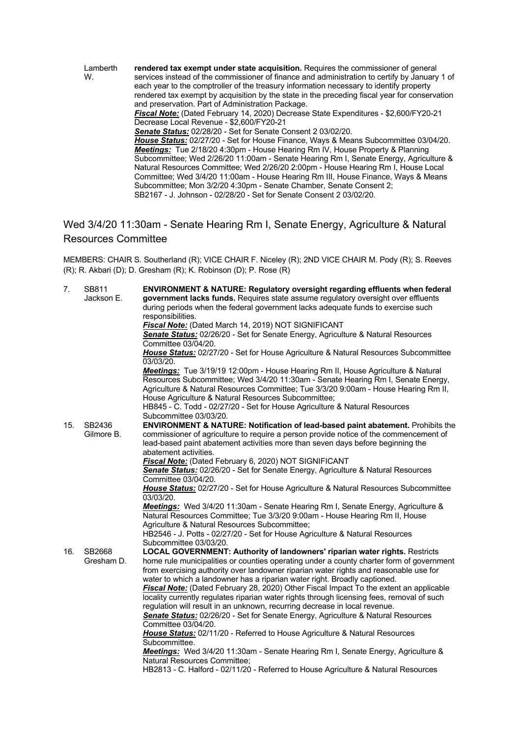Lamberth W. **rendered tax exempt under state acquisition.** Requires the commissioner of general services instead of the commissioner of finance and administration to certify by January 1 of each year to the comptroller of the treasury information necessary to identify property rendered tax exempt by acquisition by the state in the preceding fiscal year for conservation and preservation. Part of Administration Package. *Fiscal Note:* (Dated February 14, 2020) Decrease State Expenditures - \$2,600/FY20-21 Decrease Local Revenue - \$2,600/FY20-21 *Senate Status:* 02/28/20 - Set for Senate Consent 2 03/02/20. *House Status:* 02/27/20 - Set for House Finance, Ways & Means Subcommittee 03/04/20. *Meetings:* Tue 2/18/20 4:30pm - House Hearing Rm IV, House Property & Planning Subcommittee; Wed 2/26/20 11:00am - Senate Hearing Rm I, Senate Energy, Agriculture & Natural Resources Committee; Wed 2/26/20 2:00pm - House Hearing Rm I, House Local Committee; Wed 3/4/20 11:00am - House Hearing Rm III, House Finance, Ways & Means Subcommittee; Mon 3/2/20 4:30pm - Senate Chamber, Senate Consent 2; SB2167 - J. Johnson - 02/28/20 - Set for Senate Consent 2 03/02/20.

## Wed 3/4/20 11:30am - Senate Hearing Rm I, Senate Energy, Agriculture & Natural Resources Committee

MEMBERS: CHAIR S. Southerland (R); VICE CHAIR F. Niceley (R); 2ND VICE CHAIR M. Pody (R); S. Reeves (R); R. Akbari (D); D. Gresham (R); K. Robinson (D); P. Rose (R)

| 7.  | SB811      | <b>ENVIRONMENT &amp; NATURE: Regulatory oversight regarding effluents when federal</b>           |
|-----|------------|--------------------------------------------------------------------------------------------------|
|     | Jackson E. | government lacks funds. Requires state assume regulatory oversight over effluents                |
|     |            | during periods when the federal government lacks adequate funds to exercise such                 |
|     |            | responsibilities.                                                                                |
|     |            | Fiscal Note: (Dated March 14, 2019) NOT SIGNIFICANT                                              |
|     |            | <b>Senate Status:</b> 02/26/20 - Set for Senate Energy, Agriculture & Natural Resources          |
|     |            | Committee 03/04/20.                                                                              |
|     |            | House Status: 02/27/20 - Set for House Agriculture & Natural Resources Subcommittee              |
|     |            | 03/03/20.                                                                                        |
|     |            | Meetings: Tue 3/19/19 12:00pm - House Hearing Rm II, House Agriculture & Natural                 |
|     |            | Resources Subcommittee; Wed 3/4/20 11:30am - Senate Hearing Rm I, Senate Energy,                 |
|     |            | Agriculture & Natural Resources Committee; Tue 3/3/20 9:00am - House Hearing Rm II,              |
|     |            | House Agriculture & Natural Resources Subcommittee;                                              |
|     |            | HB845 - C. Todd - 02/27/20 - Set for House Agriculture & Natural Resources                       |
|     |            | Subcommittee 03/03/20.                                                                           |
| 15. | SB2436     | ENVIRONMENT & NATURE: Notification of lead-based paint abatement. Prohibits the                  |
|     | Gilmore B. | commissioner of agriculture to require a person provide notice of the commencement of            |
|     |            | lead-based paint abatement activities more than seven days before beginning the                  |
|     |            | abatement activities.                                                                            |
|     |            | Fiscal Note: (Dated February 6, 2020) NOT SIGNIFICANT                                            |
|     |            | Senate Status: 02/26/20 - Set for Senate Energy, Agriculture & Natural Resources                 |
|     |            | Committee 03/04/20.                                                                              |
|     |            | House Status: 02/27/20 - Set for House Agriculture & Natural Resources Subcommittee<br>03/03/20. |
|     |            | Meetings: Wed 3/4/20 11:30am - Senate Hearing Rm I, Senate Energy, Agriculture &                 |
|     |            | Natural Resources Committee; Tue 3/3/20 9:00am - House Hearing Rm II, House                      |
|     |            | Agriculture & Natural Resources Subcommittee;                                                    |
|     |            | HB2546 - J. Potts - 02/27/20 - Set for House Agriculture & Natural Resources                     |
|     |            | Subcommittee 03/03/20.                                                                           |
| 16. | SB2668     | <b>LOCAL GOVERNMENT: Authority of landowners' riparian water rights. Restricts</b>               |
|     | Gresham D. | home rule municipalities or counties operating under a county charter form of government         |
|     |            | from exercising authority over landowner riparian water rights and reasonable use for            |
|     |            | water to which a landowner has a riparian water right. Broadly captioned.                        |
|     |            | Fiscal Note: (Dated February 28, 2020) Other Fiscal Impact To the extent an applicable           |
|     |            | locality currently regulates riparian water rights through licensing fees, removal of such       |
|     |            | regulation will result in an unknown, recurring decrease in local revenue.                       |
|     |            | Senate Status: 02/26/20 - Set for Senate Energy, Agriculture & Natural Resources                 |
|     |            | Committee 03/04/20.                                                                              |
|     |            | House Status: 02/11/20 - Referred to House Agriculture & Natural Resources                       |
|     |            | Subcommittee.                                                                                    |
|     |            | Meetings: Wed 3/4/20 11:30am - Senate Hearing Rm I, Senate Energy, Agriculture &                 |
|     |            | Natural Resources Committee;                                                                     |
|     |            | HB2813 - C. Halford - 02/11/20 - Referred to House Agriculture & Natural Resources               |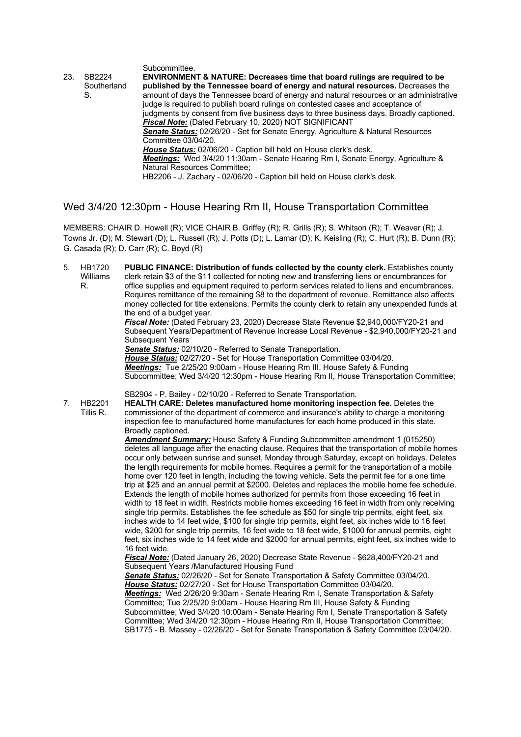| 23. | SB2224            | Subcommittee.<br><b>ENVIRONMENT &amp; NATURE: Decreases time that board rulings are required to be</b>                                                                                                                                                        |
|-----|-------------------|---------------------------------------------------------------------------------------------------------------------------------------------------------------------------------------------------------------------------------------------------------------|
|     | Southerland<br>S. | published by the Tennessee board of energy and natural resources. Decreases the<br>amount of days the Tennessee board of energy and natural resources or an administrative<br>judge is required to publish board rulings on contested cases and acceptance of |
|     |                   | judgments by consent from five business days to three business days. Broadly captioned.                                                                                                                                                                       |
|     |                   | Fiscal Note: (Dated February 10, 2020) NOT SIGNIFICANT                                                                                                                                                                                                        |
|     |                   | <b>Senate Status:</b> 02/26/20 - Set for Senate Energy, Agriculture & Natural Resources                                                                                                                                                                       |
|     |                   | Committee 03/04/20.                                                                                                                                                                                                                                           |
|     |                   | <b>House Status:</b> 02/06/20 - Caption bill held on House clerk's desk.                                                                                                                                                                                      |
|     |                   | <b>Meetings:</b> Wed 3/4/20 11:30am - Senate Hearing Rm I, Senate Energy, Agriculture &                                                                                                                                                                       |
|     |                   | <b>Natural Resources Committee:</b>                                                                                                                                                                                                                           |
|     |                   | HB2206 - J. Zachary - 02/06/20 - Caption bill held on House clerk's desk.                                                                                                                                                                                     |

Wed 3/4/20 12:30pm - House Hearing Rm II, House Transportation Committee

MEMBERS: CHAIR D. Howell (R); VICE CHAIR B. Griffey (R); R. Grills (R); S. Whitson (R); T. Weaver (R); J. Towns Jr. (D); M. Stewart (D); L. Russell (R); J. Potts (D); L. Lamar (D); K. Keisling (R); C. Hurt (R); B. Dunn (R); G. Casada (R); D. Carr (R); C. Boyd (R)

- 5. HB1720 Williams R. **PUBLIC FINANCE: Distribution of funds collected by the county clerk.** Establishes county clerk retain \$3 of the \$11 collected for noting new and transferring liens or encumbrances for
	- office supplies and equipment required to perform services related to liens and encumbrances. Requires remittance of the remaining \$8 to the department of revenue. Remittance also affects money collected for title extensions. Permits the county clerk to retain any unexpended funds at the end of a budget year.

*Fiscal Note:* (Dated February 23, 2020) Decrease State Revenue \$2,940,000/FY20-21 and Subsequent Years/Department of Revenue Increase Local Revenue - \$2,940,000/FY20-21 and Subsequent Years

*Senate Status:* 02/10/20 - Referred to Senate Transportation.

*House Status:* 02/27/20 - Set for House Transportation Committee 03/04/20. *Meetings:* Tue 2/25/20 9:00am - House Hearing Rm III, House Safety & Funding Subcommittee; Wed 3/4/20 12:30pm - House Hearing Rm II, House Transportation Committee;

SB2904 - P. Bailey - 02/10/20 - Referred to Senate Transportation.

7. HB2201 Tillis R. **HEALTH CARE: Deletes manufactured home monitoring inspection fee.** Deletes the commissioner of the department of commerce and insurance's ability to charge a monitoring inspection fee to manufactured home manufactures for each home produced in this state. Broadly captioned.

*Amendment Summary:* House Safety & Funding Subcommittee amendment 1 (015250) deletes all language after the enacting clause. Requires that the transportation of mobile homes occur only between sunrise and sunset, Monday through Saturday, except on holidays. Deletes the length requirements for mobile homes. Requires a permit for the transportation of a mobile home over 120 feet in length, including the towing vehicle. Sets the permit fee for a one time trip at \$25 and an annual permit at \$2000. Deletes and replaces the mobile home fee schedule. Extends the length of mobile homes authorized for permits from those exceeding 16 feet in width to 18 feet in width. Restricts mobile homes exceeding 16 feet in width from only receiving single trip permits. Establishes the fee schedule as \$50 for single trip permits, eight feet, six inches wide to 14 feet wide, \$100 for single trip permits, eight feet, six inches wide to 16 feet wide, \$200 for single trip permits, 16 feet wide to 18 feet wide, \$1000 for annual permits, eight feet, six inches wide to 14 feet wide and \$2000 for annual permits, eight feet, six inches wide to 16 feet wide.

*Fiscal Note:* (Dated January 26, 2020) Decrease State Revenue - \$628,400/FY20-21 and Subsequent Years /Manufactured Housing Fund

*Senate Status:* 02/26/20 - Set for Senate Transportation & Safety Committee 03/04/20. *House Status:* 02/27/20 - Set for House Transportation Committee 03/04/20.

*Meetings:* Wed 2/26/20 9:30am - Senate Hearing Rm I, Senate Transportation & Safety Committee; Tue 2/25/20 9:00am - House Hearing Rm III, House Safety & Funding Subcommittee; Wed 3/4/20 10:00am - Senate Hearing Rm I, Senate Transportation & Safety Committee; Wed 3/4/20 12:30pm - House Hearing Rm II, House Transportation Committee; SB1775 - B. Massey - 02/26/20 - Set for Senate Transportation & Safety Committee 03/04/20.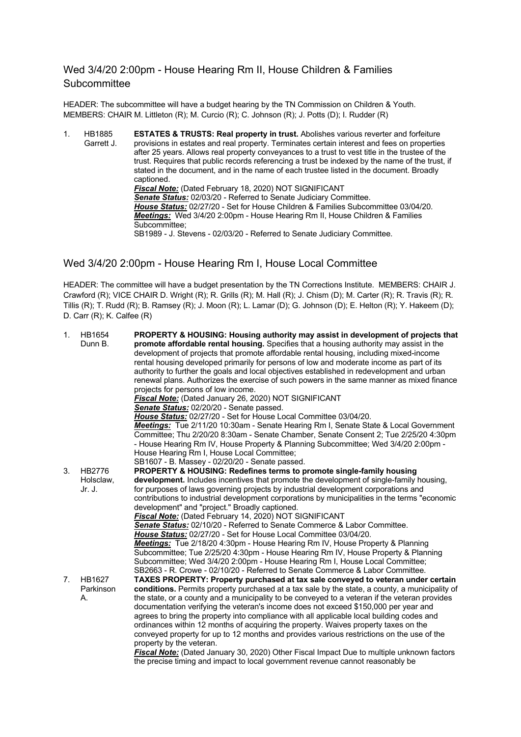#### Wed 3/4/20 2:00pm - House Hearing Rm II, House Children & Families **Subcommittee**

HEADER: The subcommittee will have a budget hearing by the TN Commission on Children & Youth. MEMBERS: CHAIR M. Littleton (R); M. Curcio (R); C. Johnson (R); J. Potts (D); I. Rudder (R)

1. HB1885 Garrett J. **ESTATES & TRUSTS: Real property in trust.** Abolishes various reverter and forfeiture provisions in estates and real property. Terminates certain interest and fees on properties after 25 years. Allows real property conveyances to a trust to vest title in the trustee of the trust. Requires that public records referencing a trust be indexed by the name of the trust, if stated in the document, and in the name of each trustee listed in the document. Broadly captioned. *Fiscal Note:* (Dated February 18, 2020) NOT SIGNIFICANT *Senate Status:* 02/03/20 - Referred to Senate Judiciary Committee. *House Status:* 02/27/20 - Set for House Children & Families Subcommittee 03/04/20. *Meetings:* Wed 3/4/20 2:00pm - House Hearing Rm II, House Children & Families Subcommittee; SB1989 - J. Stevens - 02/03/20 - Referred to Senate Judiciary Committee.

#### Wed 3/4/20 2:00pm - House Hearing Rm I, House Local Committee

HEADER: The committee will have a budget presentation by the TN Corrections Institute. MEMBERS: CHAIR J. Crawford (R); VICE CHAIR D. Wright (R); R. Grills (R); M. Hall (R); J. Chism (D); M. Carter (R); R. Travis (R); R. Tillis (R); T. Rudd (R); B. Ramsey (R); J. Moon (R); L. Lamar (D); G. Johnson (D); E. Helton (R); Y. Hakeem (D); D. Carr (R); K. Calfee (R)

| 1.          | HB1654        | PROPERTY & HOUSING: Housing authority may assist in development of projects that               |
|-------------|---------------|------------------------------------------------------------------------------------------------|
|             | Dunn B.       | promote affordable rental housing. Specifies that a housing authority may assist in the        |
|             |               | development of projects that promote affordable rental housing, including mixed-income         |
|             |               | rental housing developed primarily for persons of low and moderate income as part of its       |
|             |               | authority to further the goals and local objectives established in redevelopment and urban     |
|             |               | renewal plans. Authorizes the exercise of such powers in the same manner as mixed finance      |
|             |               | projects for persons of low income.                                                            |
|             |               | Fiscal Note: (Dated January 26, 2020) NOT SIGNIFICANT                                          |
|             |               | Senate Status: 02/20/20 - Senate passed.                                                       |
|             |               | House Status: 02/27/20 - Set for House Local Committee 03/04/20.                               |
|             |               | Meetings: Tue 2/11/20 10:30am - Senate Hearing Rm I, Senate State & Local Government           |
|             |               | Committee; Thu 2/20/20 8:30am - Senate Chamber, Senate Consent 2; Tue 2/25/20 4:30pm           |
|             |               | - House Hearing Rm IV, House Property & Planning Subcommittee; Wed 3/4/20 2:00pm -             |
|             |               | House Hearing Rm I, House Local Committee;                                                     |
|             |               | SB1607 - B. Massey - 02/20/20 - Senate passed.                                                 |
| 3.          | HB2776        | <b>PROPERTY &amp; HOUSING: Redefines terms to promote single-family housing</b>                |
|             | Holsclaw,     | development. Includes incentives that promote the development of single-family housing,        |
|             | Jr. J.        | for purposes of laws governing projects by industrial development corporations and             |
|             |               | contributions to industrial development corporations by municipalities in the terms "economic  |
|             |               | development" and "project." Broadly captioned.                                                 |
|             |               | Fiscal Note: (Dated February 14, 2020) NOT SIGNIFICANT                                         |
|             |               | Senate Status: 02/10/20 - Referred to Senate Commerce & Labor Committee.                       |
|             |               | House Status: 02/27/20 - Set for House Local Committee 03/04/20.                               |
|             |               | <b>Meetings:</b> Tue 2/18/20 4:30pm - House Hearing Rm IV, House Property & Planning           |
|             |               | Subcommittee; Tue 2/25/20 4:30pm - House Hearing Rm IV, House Property & Planning              |
|             |               | Subcommittee; Wed 3/4/20 2:00pm - House Hearing Rm I, House Local Committee;                   |
|             |               | SB2663 - R. Crowe - 02/10/20 - Referred to Senate Commerce & Labor Committee.                  |
| $7_{\cdot}$ | <b>HB1627</b> | TAXES PROPERTY: Property purchased at tax sale conveyed to veteran under certain               |
|             | Parkinson     | conditions. Permits property purchased at a tax sale by the state, a county, a municipality of |
|             | А.            | the state, or a county and a municipality to be conveyed to a veteran if the veteran provides  |
|             |               | documentation verifying the veteran's income does not exceed \$150,000 per year and            |
|             |               | agrees to bring the property into compliance with all applicable local building codes and      |
|             |               | ordinances within 12 months of acquiring the property. Waives property taxes on the            |
|             |               | conveyed property for up to 12 months and provides various restrictions on the use of the      |
|             |               | property by the veteran.                                                                       |
|             |               | Fiscal Note: (Dated January 30, 2020) Other Fiscal Impact Due to multiple unknown factors      |
|             |               | the precise timing and impact to local government revenue cannot reasonably be                 |